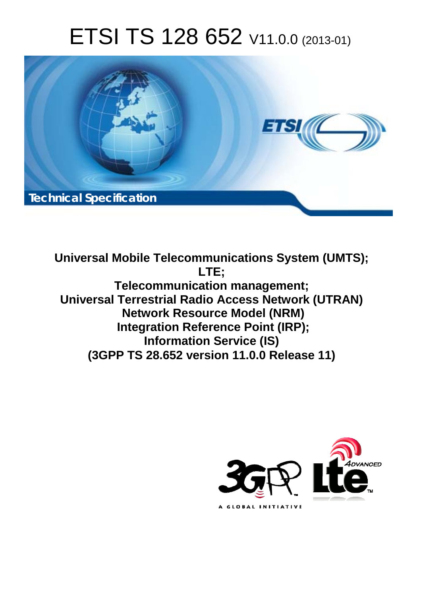# ETSI TS 128 652 V11.0.0 (2013-01)



**Universal Mobile Telecommunications System (UMTS); LTE; Telecommunication management; Universal Terrestrial Radio Access Network (UTRAN) Network Resource Model (NRM) Integration Reference Point (IRP); Information Service (IS) (3GPP TS 28.652 version 11.0.0 Release 11)** 

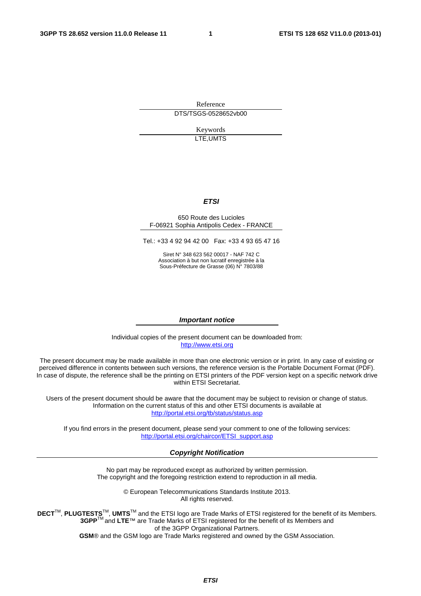Reference DTS/TSGS-0528652vb00

> Keywords LTE,UMTS

#### *ETSI*

#### 650 Route des Lucioles F-06921 Sophia Antipolis Cedex - FRANCE

Tel.: +33 4 92 94 42 00 Fax: +33 4 93 65 47 16

Siret N° 348 623 562 00017 - NAF 742 C Association à but non lucratif enregistrée à la Sous-Préfecture de Grasse (06) N° 7803/88

#### *Important notice*

Individual copies of the present document can be downloaded from: [http://www.etsi.org](http://www.etsi.org/)

The present document may be made available in more than one electronic version or in print. In any case of existing or perceived difference in contents between such versions, the reference version is the Portable Document Format (PDF). In case of dispute, the reference shall be the printing on ETSI printers of the PDF version kept on a specific network drive within ETSI Secretariat.

Users of the present document should be aware that the document may be subject to revision or change of status. Information on the current status of this and other ETSI documents is available at <http://portal.etsi.org/tb/status/status.asp>

If you find errors in the present document, please send your comment to one of the following services: [http://portal.etsi.org/chaircor/ETSI\\_support.asp](http://portal.etsi.org/chaircor/ETSI_support.asp)

#### *Copyright Notification*

No part may be reproduced except as authorized by written permission. The copyright and the foregoing restriction extend to reproduction in all media.

> © European Telecommunications Standards Institute 2013. All rights reserved.

DECT<sup>™</sup>, PLUGTESTS<sup>™</sup>, UMTS<sup>™</sup> and the ETSI logo are Trade Marks of ETSI registered for the benefit of its Members. **3GPP**TM and **LTE**™ are Trade Marks of ETSI registered for the benefit of its Members and of the 3GPP Organizational Partners.

**GSM**® and the GSM logo are Trade Marks registered and owned by the GSM Association.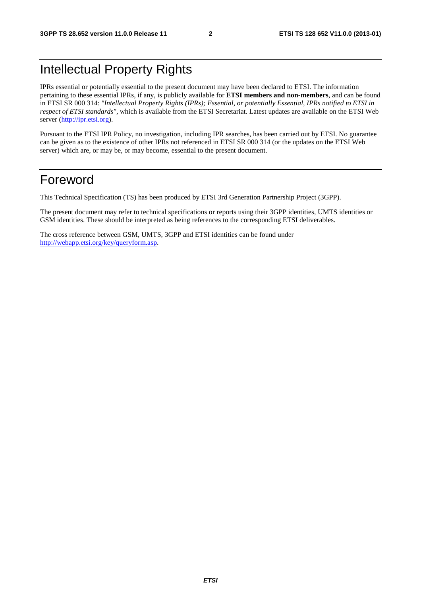# Intellectual Property Rights

IPRs essential or potentially essential to the present document may have been declared to ETSI. The information pertaining to these essential IPRs, if any, is publicly available for **ETSI members and non-members**, and can be found in ETSI SR 000 314: *"Intellectual Property Rights (IPRs); Essential, or potentially Essential, IPRs notified to ETSI in respect of ETSI standards"*, which is available from the ETSI Secretariat. Latest updates are available on the ETSI Web server [\(http://ipr.etsi.org](http://webapp.etsi.org/IPR/home.asp)).

Pursuant to the ETSI IPR Policy, no investigation, including IPR searches, has been carried out by ETSI. No guarantee can be given as to the existence of other IPRs not referenced in ETSI SR 000 314 (or the updates on the ETSI Web server) which are, or may be, or may become, essential to the present document.

# Foreword

This Technical Specification (TS) has been produced by ETSI 3rd Generation Partnership Project (3GPP).

The present document may refer to technical specifications or reports using their 3GPP identities, UMTS identities or GSM identities. These should be interpreted as being references to the corresponding ETSI deliverables.

The cross reference between GSM, UMTS, 3GPP and ETSI identities can be found under [http://webapp.etsi.org/key/queryform.asp.](http://webapp.etsi.org/key/queryform.asp)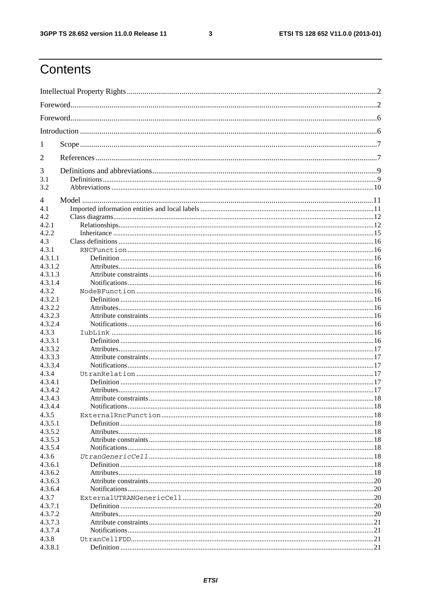$\mathbf{3}$ 

# Contents

| 1                  |  |  |
|--------------------|--|--|
| 2                  |  |  |
| 3                  |  |  |
| 3.1                |  |  |
| 3.2                |  |  |
| $\overline{4}$     |  |  |
| 4.1                |  |  |
| 4.2                |  |  |
| 4.2.1              |  |  |
| 4.2.2              |  |  |
| 4.3                |  |  |
| 4.3.1              |  |  |
| 4.3.1.1            |  |  |
| 4.3.1.2            |  |  |
| 4.3.1.3            |  |  |
| 4.3.1.4            |  |  |
| 4.3.2              |  |  |
| 4.3.2.1            |  |  |
| 4.3.2.2            |  |  |
| 4.3.2.3            |  |  |
| 4.3.2.4            |  |  |
| 4.3.3              |  |  |
| 4.3.3.1            |  |  |
| 4.3.3.2            |  |  |
| 4.3.3.3            |  |  |
| 4.3.3.4            |  |  |
| 4.3.4              |  |  |
| 4.3.4.1            |  |  |
| 4.3.4.2            |  |  |
| 4.3.4.3<br>4.3.4.4 |  |  |
| 4.3.5              |  |  |
|                    |  |  |
| 4.3.5.1<br>4.3.5.2 |  |  |
| 4.3.5.3            |  |  |
| 4.3.5.4            |  |  |
| 4.3.6              |  |  |
| 4.3.6.1            |  |  |
| 4.3.6.2            |  |  |
| 4.3.6.3            |  |  |
| 4.3.6.4            |  |  |
| 4.3.7              |  |  |
| 4.3.7.1            |  |  |
| 4.3.7.2            |  |  |
| 4.3.7.3            |  |  |
| 4.3.7.4            |  |  |
| 4.3.8              |  |  |
| 4.3.8.1            |  |  |
|                    |  |  |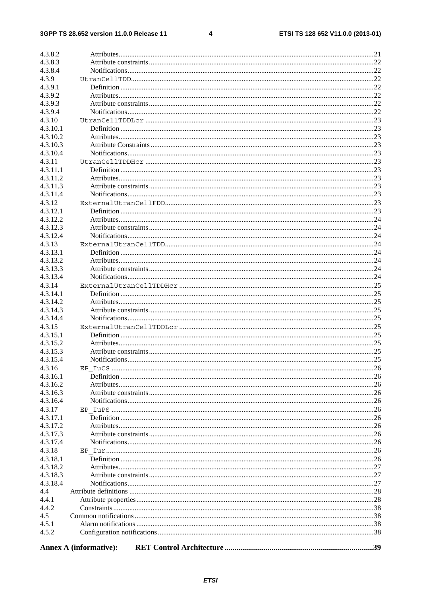#### $\overline{\mathbf{4}}$

| 4.3.8.2  |                               |  |
|----------|-------------------------------|--|
| 4.3.8.3  |                               |  |
| 4.3.8.4  |                               |  |
|          |                               |  |
| 4.3.9    |                               |  |
| 4.3.9.1  |                               |  |
| 4.3.9.2  |                               |  |
| 4.3.9.3  |                               |  |
| 4.3.9.4  |                               |  |
| 4.3.10   |                               |  |
| 4.3.10.1 |                               |  |
| 4.3.10.2 |                               |  |
| 4.3.10.3 |                               |  |
| 4.3.10.4 |                               |  |
| 4.3.11   |                               |  |
| 4.3.11.1 |                               |  |
| 4.3.11.2 |                               |  |
| 4.3.11.3 |                               |  |
| 4.3.11.4 |                               |  |
|          |                               |  |
| 4.3.12   |                               |  |
| 4.3.12.1 |                               |  |
| 4.3.12.2 |                               |  |
| 4.3.12.3 |                               |  |
| 4.3.12.4 |                               |  |
| 4.3.13   |                               |  |
| 4.3.13.1 |                               |  |
| 4.3.13.2 |                               |  |
| 4.3.13.3 |                               |  |
| 4.3.13.4 |                               |  |
| 4.3.14   |                               |  |
| 4.3.14.1 |                               |  |
| 4.3.14.2 |                               |  |
| 4.3.14.3 |                               |  |
|          |                               |  |
| 4.3.14.4 |                               |  |
| 4.3.15   |                               |  |
| 4.3.15.1 |                               |  |
| 4.3.15.2 |                               |  |
| 4.3.15.3 |                               |  |
| 4.3.15.4 |                               |  |
| 4.3.16   |                               |  |
| 4.3.16.1 |                               |  |
| 4.3.16.2 |                               |  |
| 4.3.16.3 |                               |  |
| 4.3.16.4 |                               |  |
| 4.3.17   |                               |  |
| 4.3.17.1 |                               |  |
| 4.3.17.2 |                               |  |
| 4.3.17.3 |                               |  |
| 4.3.17.4 |                               |  |
|          |                               |  |
| 4.3.18   |                               |  |
| 4.3.18.1 |                               |  |
| 4.3.18.2 |                               |  |
| 4.3.18.3 |                               |  |
| 4.3.18.4 |                               |  |
| 4.4      |                               |  |
| 4.4.1    |                               |  |
| 4.4.2    |                               |  |
| 4.5      |                               |  |
| 4.5.1    |                               |  |
| 4.5.2    |                               |  |
|          |                               |  |
|          | <b>Annex A (informative):</b> |  |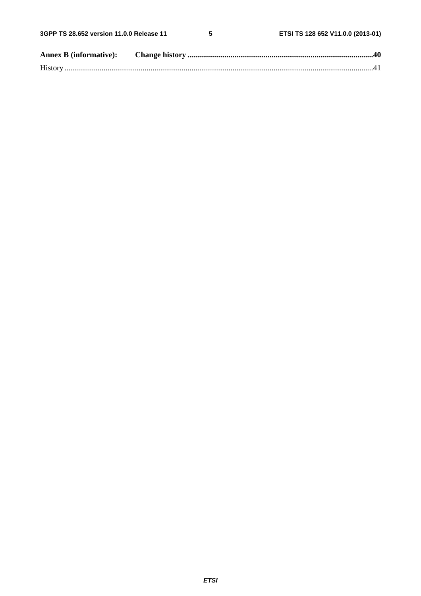$5\phantom{a}$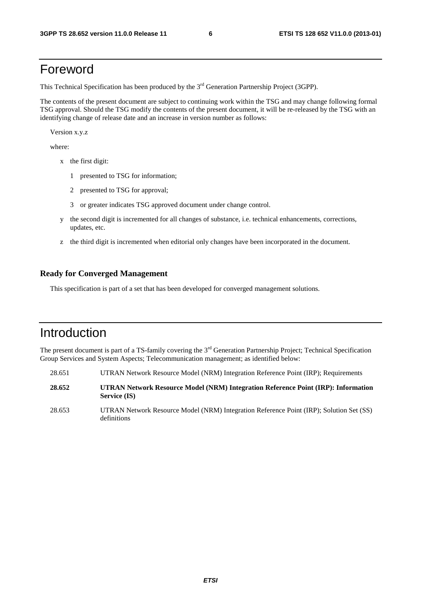# Foreword

This Technical Specification has been produced by the 3<sup>rd</sup> Generation Partnership Project (3GPP).

The contents of the present document are subject to continuing work within the TSG and may change following formal TSG approval. Should the TSG modify the contents of the present document, it will be re-released by the TSG with an identifying change of release date and an increase in version number as follows:

Version x.y.z

where:

- x the first digit:
	- 1 presented to TSG for information;
	- 2 presented to TSG for approval;
	- 3 or greater indicates TSG approved document under change control.
- y the second digit is incremented for all changes of substance, i.e. technical enhancements, corrections, updates, etc.
- z the third digit is incremented when editorial only changes have been incorporated in the document.

#### **Ready for Converged Management**

This specification is part of a set that has been developed for converged management solutions.

# Introduction

The present document is part of a TS-family covering the 3<sup>rd</sup> Generation Partnership Project; Technical Specification Group Services and System Aspects; Telecommunication management; as identified below:

- 28.651 UTRAN Network Resource Model (NRM) Integration Reference Point (IRP); Requirements
- **28.652 UTRAN Network Resource Model (NRM) Integration Reference Point (IRP): Information Service (IS)**
- 28.653 UTRAN Network Resource Model (NRM) Integration Reference Point (IRP); Solution Set (SS) definitions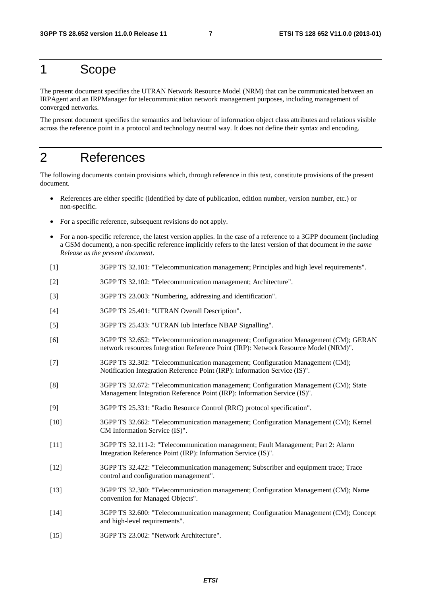# 1 Scope

The present document specifies the UTRAN Network Resource Model (NRM) that can be communicated between an IRPAgent and an IRPManager for telecommunication network management purposes, including management of converged networks.

The present document specifies the semantics and behaviour of information object class attributes and relations visible across the reference point in a protocol and technology neutral way. It does not define their syntax and encoding.

# 2 References

The following documents contain provisions which, through reference in this text, constitute provisions of the present document.

- References are either specific (identified by date of publication, edition number, version number, etc.) or non-specific.
- For a specific reference, subsequent revisions do not apply.
- For a non-specific reference, the latest version applies. In the case of a reference to a 3GPP document (including a GSM document), a non-specific reference implicitly refers to the latest version of that document *in the same Release as the present document*.
- [1] 3GPP TS 32.101: "Telecommunication management; Principles and high level requirements".
- [2] 3GPP TS 32.102: "Telecommunication management; Architecture".
- [3] 3GPP TS 23.003: "Numbering, addressing and identification".
- [4] 3GPP TS 25.401: "UTRAN Overall Description".
- [5] 3GPP TS 25.433: "UTRAN Iub Interface NBAP Signalling".
- [6] 3GPP TS 32.652: "Telecommunication management; Configuration Management (CM); GERAN network resources Integration Reference Point (IRP): Network Resource Model (NRM)".
- [7] 3GPP TS 32.302: "Telecommunication management; Configuration Management (CM); Notification Integration Reference Point (IRP): Information Service (IS)".
- [8] 3GPP TS 32.672: "Telecommunication management; Configuration Management (CM); State Management Integration Reference Point (IRP): Information Service (IS)".
- [9] 3GPP TS 25.331: "Radio Resource Control (RRC) protocol specification".
- [10] 3GPP TS 32.662: "Telecommunication management; Configuration Management (CM); Kernel CM Information Service (IS)".
- [11] 3GPP TS 32.111-2: "Telecommunication management; Fault Management; Part 2: Alarm Integration Reference Point (IRP): Information Service (IS)".
- [12] 3GPP TS 32.422: "Telecommunication management; Subscriber and equipment trace; Trace control and configuration management".
- [13] 3GPP TS 32.300: "Telecommunication management; Configuration Management (CM); Name convention for Managed Objects".
- [14] 3GPP TS 32.600: "Telecommunication management; Configuration Management (CM); Concept and high-level requirements".
- [15] 3GPP TS 23.002: "Network Architecture".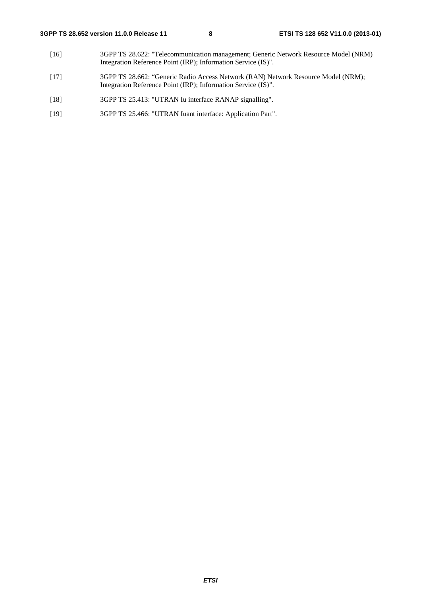- [16] 3GPP TS 28.622: "Telecommunication management; Generic Network Resource Model (NRM) Integration Reference Point (IRP); Information Service (IS)".
- [17] 3GPP TS 28.662: "Generic Radio Access Network (RAN) Network Resource Model (NRM); Integration Reference Point (IRP); Information Service (IS)".
- [18] 3GPP TS 25.413: "UTRAN Iu interface RANAP signalling".
- [19] 3GPP TS 25.466: "UTRAN Iuant interface: Application Part".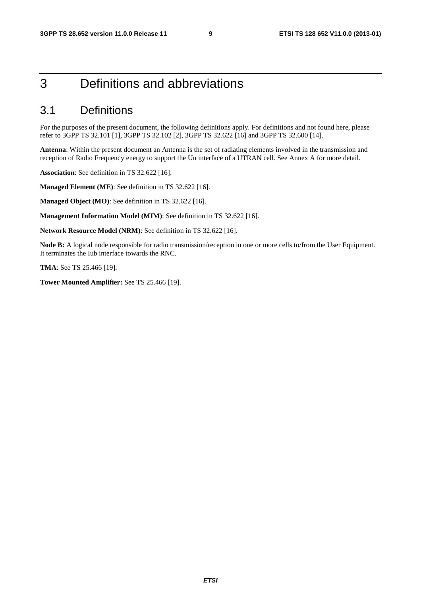# 3 Definitions and abbreviations

## 3.1 Definitions

For the purposes of the present document, the following definitions apply. For definitions and not found here, please refer to 3GPP TS 32.101 [1], 3GPP TS 32.102 [2], 3GPP TS 32.622 [16] and 3GPP TS 32.600 [14].

**Antenna**: Within the present document an Antenna is the set of radiating elements involved in the transmission and reception of Radio Frequency energy to support the Uu interface of a UTRAN cell. See Annex A for more detail.

**Association**: See definition in TS 32.622 [16].

**Managed Element (ME)**: See definition in TS 32.622 [16].

**Managed Object (MO)**: See definition in TS 32.622 [16].

**Management Information Model (MIM)**: See definition in TS 32.622 [16].

**Network Resource Model (NRM)**: See definition in TS 32.622 [16].

**Node B:** A logical node responsible for radio transmission/reception in one or more cells to/from the User Equipment. It terminates the Iub interface towards the RNC.

**TMA**: See TS 25.466 [19].

**Tower Mounted Amplifier:** See TS 25.466 [19].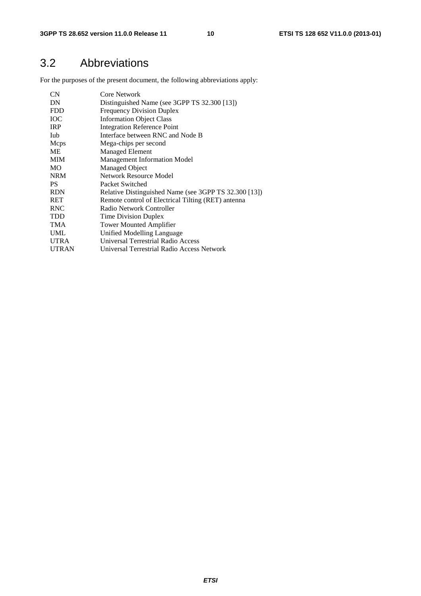# 3.2 Abbreviations

For the purposes of the present document, the following abbreviations apply:

| Core Network                                          |
|-------------------------------------------------------|
| Distinguished Name (see 3GPP TS 32.300 [13])          |
| <b>Frequency Division Duplex</b>                      |
| <b>Information Object Class</b>                       |
| <b>Integration Reference Point</b>                    |
| Interface between RNC and Node B                      |
| Mega-chips per second                                 |
| <b>Managed Element</b>                                |
| <b>Management Information Model</b>                   |
| <b>Managed Object</b>                                 |
| Network Resource Model                                |
| Packet Switched                                       |
| Relative Distinguished Name (see 3GPP TS 32.300 [13]) |
| Remote control of Electrical Tilting (RET) antenna    |
| Radio Network Controller                              |
| <b>Time Division Duplex</b>                           |
| <b>Tower Mounted Amplifier</b>                        |
| Unified Modelling Language                            |
| Universal Terrestrial Radio Access                    |
| Universal Terrestrial Radio Access Network            |
|                                                       |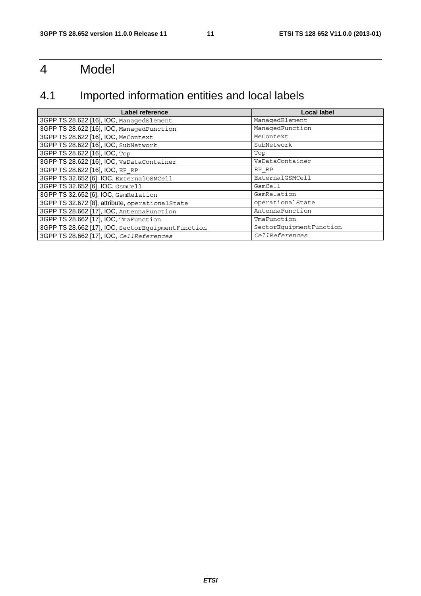# 4 Model

# 4.1 Imported information entities and local labels

| Label reference                                   | <b>Local label</b>      |
|---------------------------------------------------|-------------------------|
| 3GPP TS 28.622 [16], IOC, ManagedElement          | ManagedElement          |
| 3GPP TS 28.622 [16], IOC, ManagedFunction         | ManagedFunction         |
| 3GPP TS 28.622 [16], IOC, MeContext               | MeContext               |
| 3GPP TS 28.622 [16], IOC, SubNetwork              | SubNetwork              |
| 3GPP TS 28.622 [16], IOC, Top                     | Top                     |
| 3GPP TS 28.622 [16], IOC, VsDataContainer         | VsDataContainer         |
| 3GPP TS 28.622 [16], IOC, EP RP                   | EP RP                   |
| 3GPP TS 32.652 [6], IOC, ExternalGSMCell          | ExternalGSMCell         |
| 3GPP TS 32.652 [6], IOC, GsmCell                  | GsmCell                 |
| 3GPP TS 32.652 [6], IOC, GsmRelation              | GsmRelation             |
| 3GPP TS 32.672 [8], attribute, operationalState   | operationalState        |
| 3GPP TS 28.662 [17], IOC, AntennaFunction         | AntennaFunction         |
| 3GPP TS 28.662 [17], IOC, TmaFunction             | TmaFunction             |
| 3GPP TS 28.662 [17], IOC, SectorEquipmentFunction | SectorEquipmentFunction |
| 3GPP TS 28.662 [17], IOC, CellReferences          | CellReferences          |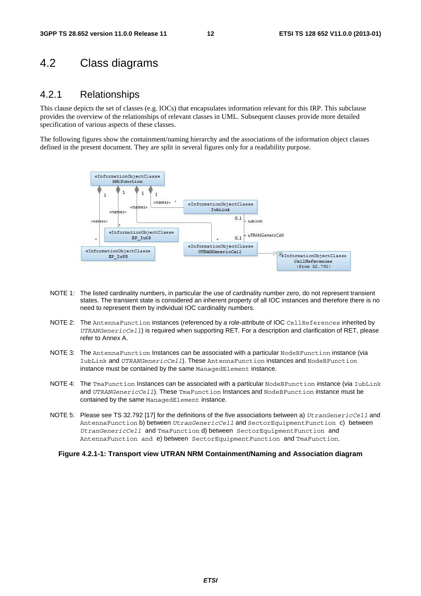## 4.2 Class diagrams

#### 4.2.1 Relationships

This clause depicts the set of classes (e.g. IOCs) that encapsulates information relevant for this IRP. This subclause provides the overview of the relationships of relevant classes in UML. Subsequent clauses provide more detailed specification of various aspects of these classes.

The following figures show the containment/naming hierarchy and the associations of the information object classes defined in the present document. They are split in several figures only for a readability purpose.



- NOTE 1: The listed cardinality numbers, in particular the use of cardinality number zero, do not represent transient states. The transient state is considered an inherent property of all IOC instances and therefore there is no need to represent them by individual IOC cardinality numbers.
- NOTE 2: The AntennaFunction instances (referenced by a role-attribute of IOC CellReferences inherited by *UTRANGenericCell*) is required when supporting RET. For a description and clarification of RET, please refer to Annex A.
- NOTE 3: The AntennaFunction Instances can be associated with a particular NodeBFunction instance (via IubLink and *UTRANGenericCell*). These AntennaFunction instances and NodeBFunction instance must be contained by the same ManagedElement instance.
- NOTE 4: The TmaFunction Instances can be associated with a particular NodeBFunction instance (via IubLink and *UTRANGenericCell*). These TmaFunction Instances and NodeBFunction instance must be contained by the same ManagedElement instance.
- NOTE 5: Please see TS 32.792 [17] for the definitions of the five associations between a) *UtranGenericCell* and AntennaFunction b) between *UtranGenericCell* and SectorEquipmentFunction c) between *UtranGenericCell* and TmaFunction d) between SectorEquipmentFunction and AntennaFunction and e) between SectorEquipmentFunction and TmaFunction.

#### **Figure 4.2.1-1: Transport view UTRAN NRM Containment/Naming and Association diagram**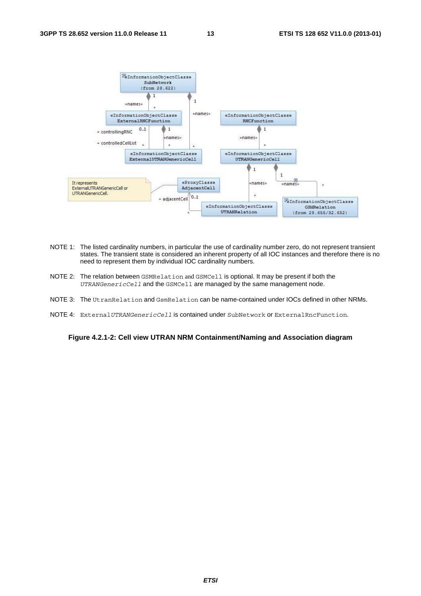

- NOTE 1: The listed cardinality numbers, in particular the use of cardinality number zero, do not represent transient states. The transient state is considered an inherent property of all IOC instances and therefore there is no need to represent them by individual IOC cardinality numbers.
- NOTE 2: The relation between GSMRelation and GSMCell is optional. It may be present if both the *UTRANGenericCell* and the GSMCell are managed by the same management node.
- NOTE 3: The UtranRelation and GsmRelation can be name-contained under IOCs defined in other NRMs.
- NOTE 4: External *UTRANGenericCell* is contained under SubNetwork or External RncFunction.

**Figure 4.2.1-2: Cell view UTRAN NRM Containment/Naming and Association diagram**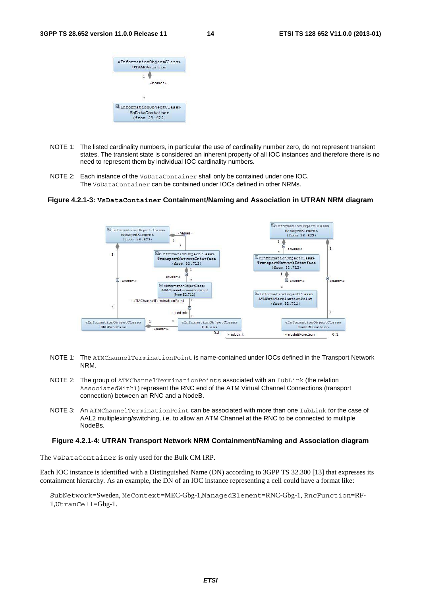

- NOTE 1: The listed cardinality numbers, in particular the use of cardinality number zero, do not represent transient states. The transient state is considered an inherent property of all IOC instances and therefore there is no need to represent them by individual IOC cardinality numbers.
- NOTE 2: Each instance of the VsDataContainer shall only be contained under one IOC. The VsDataContainer can be contained under IOCs defined in other NRMs.

#### **Figure 4.2.1-3: VsDataContainer Containment/Naming and Association in UTRAN NRM diagram**



- NOTE 1: The ATMChannelTerminationPoint is name-contained under IOCs defined in the Transport Network NRM.
- NOTE 2: The group of ATMChannelTerminationPoints associated with an IubLink (the relation AssociatedWith1) represent the RNC end of the ATM Virtual Channel Connections (transport connection) between an RNC and a NodeB.
- NOTE 3: An ATMChannelTerminationPoint can be associated with more than one IubLink for the case of AAL2 multiplexing/switching, i.e. to allow an ATM Channel at the RNC to be connected to multiple NodeBs.

#### **Figure 4.2.1-4: UTRAN Transport Network NRM Containment/Naming and Association diagram**

The VsDataContainer is only used for the Bulk CM IRP.

Each IOC instance is identified with a Distinguished Name (DN) according to 3GPP TS 32.300 [13] that expresses its containment hierarchy. As an example, the DN of an IOC instance representing a cell could have a format like:

SubNetwork=Sweden, MeContext=MEC-Gbg-1,ManagedElement=RNC-Gbg-1, RncFunction=RF-1,UtranCell=Gbg-1.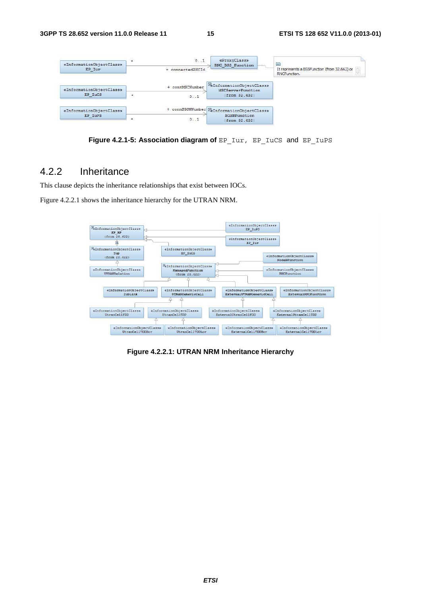

Figure 4.2.1-5: Association diagram of EP\_Iur, EP\_IuCS and EP\_IuPS

### 4.2.2 Inheritance

This clause depicts the inheritance relationships that exist between IOCs.

Figure 4.2.2.1 shows the inheritance hierarchy for the UTRAN NRM.



**Figure 4.2.2.1: UTRAN NRM Inheritance Hierarchy**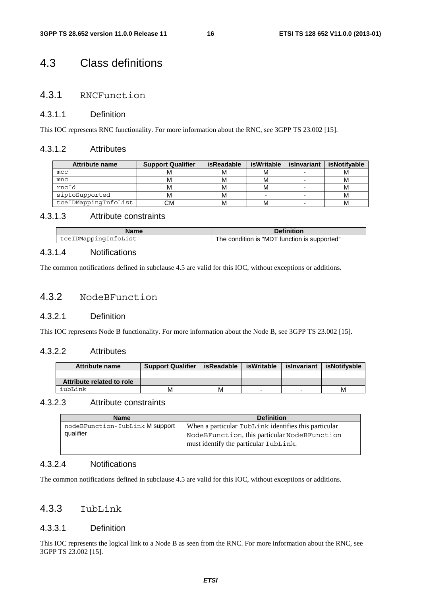## 4.3 Class definitions

### 4.3.1 RNCFunction

#### 4.3.1.1 Definition

This IOC represents RNC functionality. For more information about the RNC, see 3GPP TS 23.002 [15].

#### 4.3.1.2 Attributes

| <b>Attribute name</b> | <b>Support Qualifier</b> | isReadable | isWritable | islnvariant | <b>isNotifvable</b> |
|-----------------------|--------------------------|------------|------------|-------------|---------------------|
| mcc                   | IΜ                       |            | M          |             | M                   |
| mnc                   | M                        | M          | M          |             | м                   |
| rncId                 | M                        | M          | M          |             | м                   |
| siptoSupported        | M                        | M          | -          |             | м                   |
| tceIDMappingInfoList  | CМ                       | M          | M          |             | М                   |

#### 4.3.1.3 Attribute constraints

| Name                 | <b>Definition</b>                            |
|----------------------|----------------------------------------------|
| tceIDMappingInfoList | The condition is "MDT function is supported" |

#### 4.3.1.4 Notifications

The common notifications defined in subclause 4.5 are valid for this IOC, without exceptions or additions.

#### 4.3.2 NodeBFunction

#### 4.3.2.1 Definition

This IOC represents Node B functionality. For more information about the Node B, see 3GPP TS 23.002 [15].

#### 4.3.2.2 Attributes

| Attribute name            | <b>Support Qualifier</b> | isReadable | isWritable | islnvariant | isNotifvable |
|---------------------------|--------------------------|------------|------------|-------------|--------------|
|                           |                          |            |            |             |              |
| Attribute related to role |                          |            |            |             |              |
| iubLink                   | М                        | м          |            |             | М            |

#### 4.3.2.3 Attribute constraints

| <b>Name</b>                     | <b>Definition</b>                                    |
|---------------------------------|------------------------------------------------------|
| nodeBFunction-IubLink M support | When a particular IubLink identifies this particular |
| qualifier                       | NodeBFunction, this particular NodeBFunction         |
|                                 | must identify the particular IubLink.                |
|                                 |                                                      |

#### 4.3.2.4 Notifications

The common notifications defined in subclause 4.5 are valid for this IOC, without exceptions or additions.

#### 4.3.3 IubLink

#### 4.3.3.1 Definition

This IOC represents the logical link to a Node B as seen from the RNC. For more information about the RNC, see 3GPP TS 23.002 [15].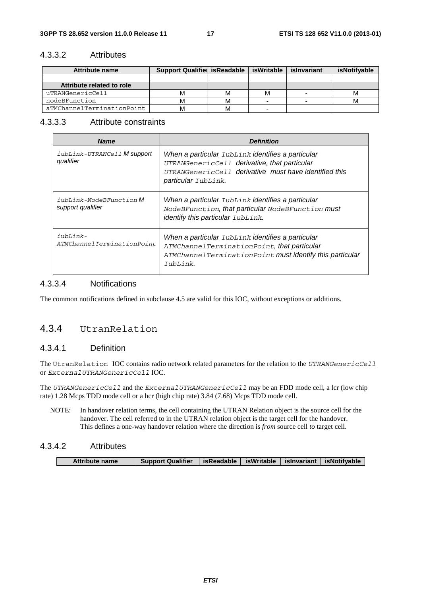#### 4.3.3.2 Attributes

| Attribute name             | <b>Support Qualifiel is Readable</b> |   | isWritable | islnvariant | isNotifyable |
|----------------------------|--------------------------------------|---|------------|-------------|--------------|
|                            |                                      |   |            |             |              |
| Attribute related to role  |                                      |   |            |             |              |
| uTRANGenericCell           |                                      | м | М          |             | м            |
| nodeBFunction              |                                      | м |            |             | м            |
| aTMChannelTerminationPoint |                                      |   |            |             |              |

#### 4.3.3.3 Attribute constraints

| <b>Name</b>                                         | <b>Definition</b>                                                                                                                                                                    |
|-----------------------------------------------------|--------------------------------------------------------------------------------------------------------------------------------------------------------------------------------------|
| iubLink-UTRANCell M support<br>qualifier            | When a particular IubLink identifies a particular<br>UTRANGenericCell derivative, that particular<br>UTRANGenericCell derivative must have identified this<br>particular IubLink.    |
| <i>iubLink-NodeBFunction</i> M<br>support qualifier | When a particular IubLink identifies a particular<br>NodeBFunction, that particular NodeBFunction must<br>identify this particular IubLink.                                          |
| iubLink-<br>ATMChannelTerminationPoint              | When a particular IubLink identifies a particular<br>ATMChannelTerminationPoint, that particular<br>ATMChannelTerminationPoint mustidentify this particular<br>$T_{11}bL_{1}i n k$ . |

#### 4.3.3.4 Notifications

The common notifications defined in subclause 4.5 are valid for this IOC, without exceptions or additions.

#### 4.3.4 UtranRelation

#### 4.3.4.1 Definition

The UtranRelation IOC contains radio network related parameters for the relation to the *UTRANGenericCell* or *ExternalUTRANGenericCell* IOC.

The *UTRANGenericCell* and the *ExternalUTRANGenericCell* may be an FDD mode cell, a lcr (low chip rate) 1.28 Mcps TDD mode cell or a hcr (high chip rate) 3.84 (7.68) Mcps TDD mode cell.

NOTE: In handover relation terms, the cell containing the UTRAN Relation object is the source cell for the handover. The cell referred to in the UTRAN relation object is the target cell for the handover. This defines a one-way handover relation where the direction is *from* source cell *to* target cell.

#### 4.3.4.2 Attributes

| Attribute name | <b>Support Qualifier</b> |  | isReadable   isWritable   isInvariant   isNotifvable |
|----------------|--------------------------|--|------------------------------------------------------|
|                |                          |  |                                                      |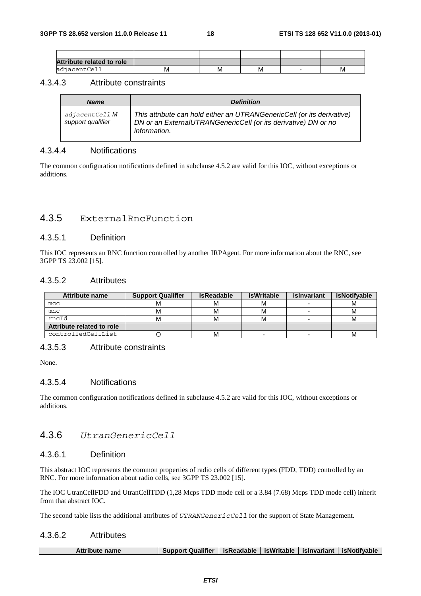| <b>Attribute related to role</b> |   |     |   |   |
|----------------------------------|---|-----|---|---|
| adjacentCell                     | M | ΙVΙ | M | M |

#### 4.3.4.3 Attribute constraints

| <b>Name</b>                                | <b>Definition</b>                                                                                                                                               |
|--------------------------------------------|-----------------------------------------------------------------------------------------------------------------------------------------------------------------|
| adjacentCell <b>M</b><br>support qualifier | This attribute can hold either an UTRANGenericCell (or its derivative)<br>DN or an ExternalUTRANGenericCell (or its derivative) DN or no<br><i>information.</i> |

#### 4.3.4.4 Notifications

The common configuration notifications defined in subclause 4.5.2 are valid for this IOC, without exceptions or additions.

#### 4.3.5 ExternalRncFunction

#### 4.3.5.1 Definition

This IOC represents an RNC function controlled by another IRPAgent. For more information about the RNC, see 3GPP TS 23.002 [15].

#### 4.3.5.2 Attributes

| <b>Attribute name</b>     | <b>Support Qualifier</b> | isReadable | isWritable | islnvariant | isNotifyable |
|---------------------------|--------------------------|------------|------------|-------------|--------------|
| mcc                       |                          |            |            |             | м            |
| mnc                       |                          | М          | м          | -           | М            |
| rncId                     |                          | м          | м          |             | М            |
| Attribute related to role |                          |            |            |             |              |
| controlledCellList        |                          | М          | -          | -           | М            |

#### 4.3.5.3 Attribute constraints

None.

#### 4.3.5.4 Notifications

The common configuration notifications defined in subclause 4.5.2 are valid for this IOC, without exceptions or additions.

#### 4.3.6 *UtranGenericCell*

#### 4.3.6.1 Definition

This abstract IOC represents the common properties of radio cells of different types (FDD, TDD) controlled by an RNC. For more information about radio cells, see 3GPP TS 23.002 [15].

The IOC UtranCellFDD and UtranCellTDD (1,28 Mcps TDD mode cell or a 3.84 (7.68) Mcps TDD mode cell) inherit from that abstract IOC.

The second table lists the additional attributes of *UTRANGenericCell* for the support of State Management.

#### 4.3.6.2 Attributes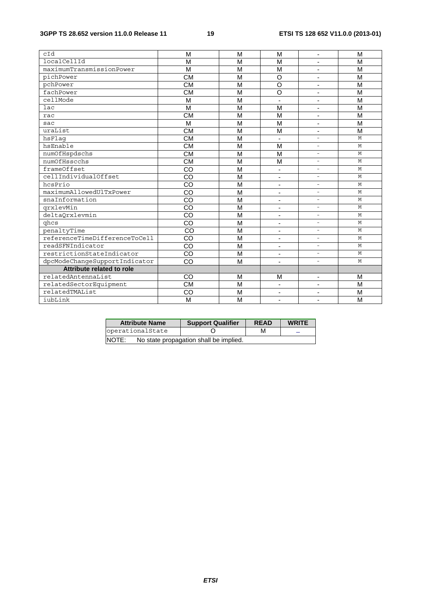| cId                           | M                      | м              | M                            | $\overline{\phantom{a}}$ | M |
|-------------------------------|------------------------|----------------|------------------------------|--------------------------|---|
| localCellId                   | M                      | M              | M                            |                          | M |
| maximumTransmissionPower      | M                      | M              | M                            | ٠                        | M |
| pichPower                     | $\overline{\text{CM}}$ | M              | $\overline{O}$               | -                        | M |
| pchPower                      | <b>CM</b>              | M              | $\circ$                      | $\overline{\phantom{a}}$ | M |
| fachPower                     | <b>CM</b>              | M              | $\circ$                      |                          | M |
| cellMode                      | M                      | M              | ä,                           | ÷.                       | M |
| lac                           | M                      | M              | M                            | ٠                        | M |
| rac                           | <b>CM</b>              | M              | M                            | $\overline{\phantom{a}}$ | M |
| sac                           | M                      | M              | M                            |                          | M |
| uraList                       | <b>CM</b>              | M              | M                            | ٠                        | M |
| hsFlaq                        | $\overline{\text{CM}}$ | $\overline{M}$ | -                            | $\equiv$                 | M |
| hsEnable                      | <b>CM</b>              | M              | M                            | $\blacksquare$           | M |
| numOfHspdschs                 | <b>CM</b>              | M              | M                            | $\overline{\phantom{0}}$ | M |
| numOfHsscchs                  | <b>CM</b>              | M              | M                            | ÷.                       | M |
| frameOffset                   | CO                     | M              | $\qquad \qquad \blacksquare$ | $\equiv$                 | M |
| cellIndividualOffset          | CO                     | M              | $\blacksquare$               | $\overline{\phantom{0}}$ | M |
| hcsPrio                       | CO                     | M              | $\overline{\phantom{a}}$     | $\overline{\phantom{0}}$ | M |
| maximumAllowedUlTxPower       | CO                     | M              | $\blacksquare$               | $\overline{\phantom{0}}$ | M |
| snaInformation                | CO                     | M              | $\overline{\phantom{a}}$     | $\equiv$                 | M |
| qrxlevMin                     | CO                     | M              | ٠                            | $\equiv$                 | M |
| deltaQrxlevmin                | CO                     | M              | ٠                            | ÷.                       | M |
| ghcs                          | CO                     | M              | ٠                            | $\equiv$                 | M |
| penaltyTime                   | $\overline{c}$         | $\overline{M}$ |                              | ÷,                       | M |
| referenceTimeDifferenceToCell | CO                     | M              | ٠                            | $\equiv$                 | M |
| readSFNIndicator              | CO                     | M              |                              | $\equiv$                 | M |
| restrictionStateIndicator     | CO                     | M              | $\blacksquare$               | $\equiv$                 | M |
| dpcModeChangeSupportIndicator | CO                     | M              | $\overline{\phantom{a}}$     | $\overline{\phantom{a}}$ | M |
| Attribute related to role     |                        |                |                              |                          |   |
| relatedAntennaList            | CO                     | M              | M                            | Ξ.                       | M |
| relatedSectorEquipment        | <b>CM</b>              | M              | $\overline{a}$               |                          | M |
| relatedTMAList                | CO                     | M              | $\overline{\phantom{a}}$     | -                        | M |
| iubLink                       | M                      | M              | ٠                            | ٠                        | M |

| <b>Attribute Name</b> | <b>Support Qualifier</b>               | <b>READ</b> | <b>WRITE</b> |
|-----------------------|----------------------------------------|-------------|--------------|
| operationalState      |                                        | M           |              |
| INOTE:                | No state propagation shall be implied. |             |              |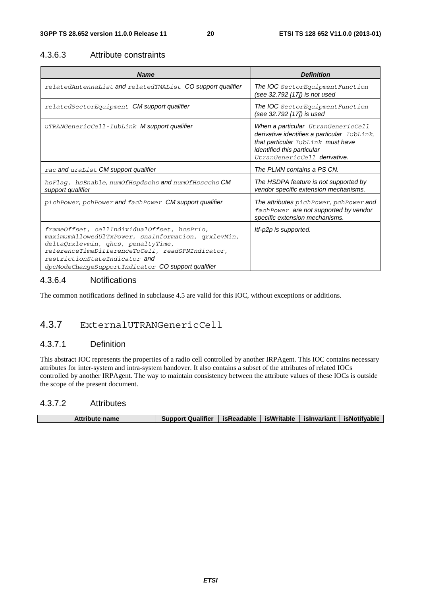#### 4.3.6.3 Attribute constraints

| <b>Name</b>                                                                                                                                                                                                                                                                         | <b>Definition</b>                                                                                                                                                                           |
|-------------------------------------------------------------------------------------------------------------------------------------------------------------------------------------------------------------------------------------------------------------------------------------|---------------------------------------------------------------------------------------------------------------------------------------------------------------------------------------------|
| related Antennalist and related TMAList CO support qualifier                                                                                                                                                                                                                        | The IOC SectorEquipmentFunction<br>(see 32.792 [17]) is not used                                                                                                                            |
| relatedSectorEquipment CM support qualifier                                                                                                                                                                                                                                         | The IOC SectorEquipmentFunction<br>(see 32.792 [17]) is used                                                                                                                                |
| uTRANGenericCell-IubLink M support qualifier                                                                                                                                                                                                                                        | When a particular UtranGenericCell<br>derivative identifies a particular IubLink,<br>that particular IubLink must have<br><i>identified this particular</i><br>UtranGenericCell derivative. |
| rac and uraList CM support qualifier                                                                                                                                                                                                                                                | The PLMN contains a PS CN.                                                                                                                                                                  |
| hsFlag, hsEnable, numOfHspdschs and numOfHsscchs CM<br>support qualifier                                                                                                                                                                                                            | The HSDPA feature is not supported by<br>vendor specific extension mechanisms.                                                                                                              |
| pichPower, pchPower and fachPower CM support qualifier                                                                                                                                                                                                                              | The attributes pichPower, pchPower and<br>fachPower are not supported by vendor<br>specific extension mechanisms.                                                                           |
| frameOffset, cellIndividualOffset, hcsPrio,<br>maximumAllowedUlTxPower, snaInformation, qrxlevMin,<br>deltaQrxlevmin, qhcs, penaltyTime,<br>referenceTimeDifferenceToCell, readSFNIndicator,<br>restrictionStateIndicator and<br>dpcModeChangeSupportIndicator CO support qualifier | Itf-p2p is supported.                                                                                                                                                                       |

#### 4.3.6.4 Notifications

The common notifications defined in subclause 4.5 are valid for this IOC, without exceptions or additions.

## 4.3.7 ExternalUTRANGenericCell

#### 4.3.7.1 Definition

This abstract IOC represents the properties of a radio cell controlled by another IRPAgent. This IOC contains necessary attributes for inter-system and intra-system handover. It also contains a subset of the attributes of related IOCs controlled by another IRPAgent. The way to maintain consistency between the attribute values of these IOCs is outside the scope of the present document.

#### 4.3.7.2 Attributes

| <b>Attribute name</b> | <b>Support Qualifier</b> | isReadable   isWritable |  | islnvariant   isNotifvable |
|-----------------------|--------------------------|-------------------------|--|----------------------------|
|                       |                          |                         |  |                            |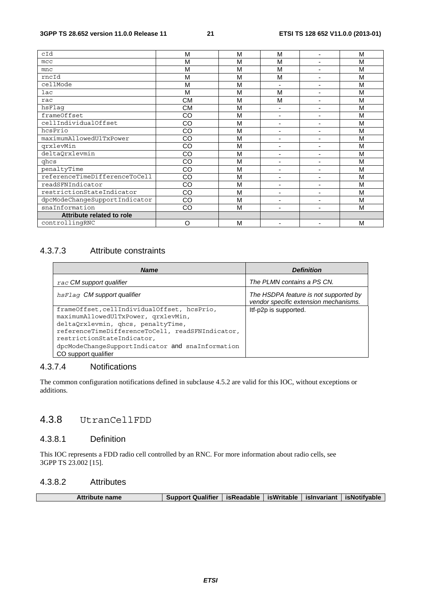| cId                           | М         | M | M                        |                          | M |
|-------------------------------|-----------|---|--------------------------|--------------------------|---|
| mcc                           | M         | M | M                        | $\blacksquare$           | M |
| mnc                           | M         | M | M                        | ٠                        | M |
| rncId                         | M         | M | M                        | $\blacksquare$           | M |
| cellMode                      | M         | M | ٠                        |                          | M |
| lac                           | M         | M | M                        | $\blacksquare$           | M |
| rac                           | <b>CM</b> | M | M                        | ٠                        | M |
| hsFlaq                        | <b>CM</b> | M | ٠                        | ٠                        | M |
| frameOffset                   | CO        | M | $\blacksquare$           | $\blacksquare$           | M |
| cellIndividualOffset          | CO        | M | ۰                        |                          | M |
| hcsPrio                       | CO        | M | ۰                        | $\blacksquare$           | M |
| maximumAllowedUlTxPower       | CO        | M | ٠                        | $\blacksquare$           | M |
| qrxlevMin                     | CO        | M | $\blacksquare$           | $\blacksquare$           | M |
| deltaQrxlevmin                | CO        | M | $\blacksquare$           |                          | M |
| ghcs                          | CO        | M |                          |                          | M |
| penaltyTime                   | CO        | M | ٠                        | $\overline{\phantom{0}}$ | M |
| referenceTimeDifferenceToCell | CO        | M | ٠                        | ٠                        | M |
| readSFNIndicator              | CO        | M | $\blacksquare$           | $\blacksquare$           | M |
| restrictionStateIndicator     | CO        | M | ۰                        | $\blacksquare$           | M |
| dpcModeChangeSupportIndicator | CO        | M | ۰                        | ۰                        | M |
| snaInformation                | CO        | M | $\overline{\phantom{a}}$ | $\blacksquare$           | M |
| Attribute related to role     |           |   |                          |                          |   |
| controllingRNC                | O         | M |                          |                          | M |

#### 4.3.7.3 Attribute constraints

| <b>Name</b>                                                                                                                                                                                                                                                                            | <b>Definition</b>                                                              |
|----------------------------------------------------------------------------------------------------------------------------------------------------------------------------------------------------------------------------------------------------------------------------------------|--------------------------------------------------------------------------------|
| rac CM support qualifier                                                                                                                                                                                                                                                               | The PLMN contains a PS CN.                                                     |
| hsFlag CM support qualifier                                                                                                                                                                                                                                                            | The HSDPA feature is not supported by<br>vendor specific extension mechanisms. |
| frameOffset, cellIndividualOffset, hcsPrio,<br>maximumAllowedUlTxPower, qrxlevMin,<br>deltaQrxlevmin, qhcs, penaltyTime,<br>referenceTimeDifferenceToCell, readSFNIndicator,<br>restrictionStateIndicator,<br>dpcModeChangeSupportIndicator and snaInformation<br>CO support qualifier | Itf-p2p is supported.                                                          |

#### 4.3.7.4 Notifications

The common configuration notifications defined in subclause 4.5.2 are valid for this IOC, without exceptions or additions.

## 4.3.8 UtranCellFDD

#### 4.3.8.1 Definition

This IOC represents a FDD radio cell controlled by an RNC. For more information about radio cells, see 3GPP TS 23.002 [15].

#### 4.3.8.2 Attributes

| Support Qualifier   isReadable   isWritable   isInvariant   isNotifyable<br><b>Attribute name</b> |  |  |  |  |  |
|---------------------------------------------------------------------------------------------------|--|--|--|--|--|
|---------------------------------------------------------------------------------------------------|--|--|--|--|--|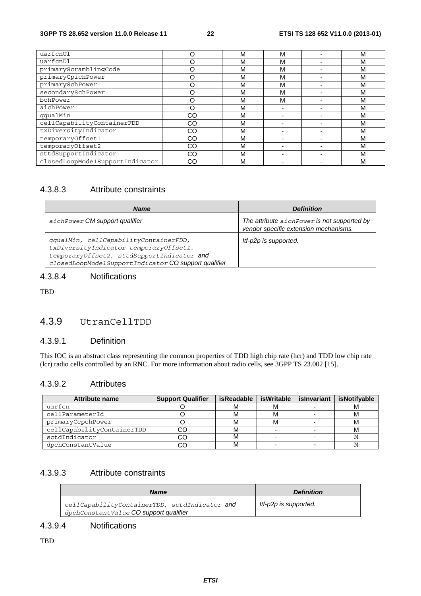#### **3GPP TS 28.652 version 11.0.0 Release 11 22 ETSI TS 128 652 V11.0.0 (2013-01)**

| uarfcnUl                        |    | М | м | M |
|---------------------------------|----|---|---|---|
| uarfcnDl                        |    | М | М | M |
| primaryScramblingCode           |    | М | М | M |
| primaryCpichPower               |    | М | М | M |
| primarySchPower                 |    | М | М | M |
| secondarySchPower               |    | М | М | M |
| bchPower                        |    | M | M | M |
| aichPower                       |    | М |   | M |
| qqualMin                        | CO | М |   | M |
| cellCapabilityContainerFDD      | CO | М |   | M |
| txDiversityIndicator            | CO | М |   | M |
| temporaryOffset1                | CO | М |   | M |
| temporaryOffset2                | CO | М |   | M |
| sttdSupportIndicator            | CO | М |   | M |
| closedLoopMode1SupportIndicator | CO | М |   | M |

#### 4.3.8.3 Attribute constraints

| <b>Name</b>                                                                                                                                                                           | <b>Definition</b>                                                                    |
|---------------------------------------------------------------------------------------------------------------------------------------------------------------------------------------|--------------------------------------------------------------------------------------|
| aichPower CM support qualifier                                                                                                                                                        | The attribute aichPower is not supported by<br>vendor specific extension mechanisms. |
| qqualMin, cellCapabilityContainerFDD,<br>txDiversityIndicator temporaryOffset1,<br>temporaryOffset2, sttdSupportIndicator and<br>closedLoopMode1SupportIndicator CO support qualifier | Itf-p2p is supported.                                                                |

### 4.3.8.4 Notifications

TBD

#### 4.3.9 UtranCellTDD

#### 4.3.9.1 Definition

This IOC is an abstract class representing the common properties of TDD high chip rate (hcr) and TDD low chip rate (lcr) radio cells controlled by an RNC. For more information about radio cells, see 3GPP TS 23.002 [15].

#### 4.3.9.2 Attributes

| <b>Attribute name</b>      | <b>Support Qualifier</b> | isReadable | isWritable | islnvariant | isNotifyable |
|----------------------------|--------------------------|------------|------------|-------------|--------------|
| uarfcn                     |                          |            | м          |             |              |
| cellParameterId            |                          |            | м          |             |              |
| primaryCcpchPower          |                          |            | м          |             | м            |
| cellCapabilityContainerTDD |                          |            |            |             | м            |
| sctdIndicator              |                          |            |            |             |              |
| dpchConstantValue          |                          |            |            |             |              |

#### 4.3.9.3 Attribute constraints

| <b>Name</b>                                                                             | <b>Definition</b>     |
|-----------------------------------------------------------------------------------------|-----------------------|
| cellCapabilityContainerTDD, sctdIndicator and<br>dpchConstantValue CO support qualifier | Itf-p2p is supported. |

### 4.3.9.4 Notifications

TBD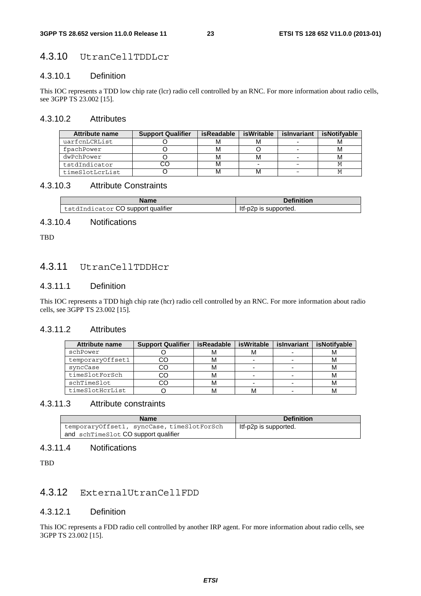#### 4.3.10 UtranCellTDDLcr

#### 4.3.10.1 Definition

This IOC represents a TDD low chip rate (lcr) radio cell controlled by an RNC. For more information about radio cells, see 3GPP TS 23.002 [15].

#### 4.3.10.2 Attributes

| Attribute name  | <b>Support Qualifier</b> | isReadable | isWritable | islnvariant | <b>isNotifvable</b> |
|-----------------|--------------------------|------------|------------|-------------|---------------------|
| uarfcnLCRList   |                          | м          |            |             |                     |
| fpachPower      |                          | м          |            |             |                     |
| dwPchPower      |                          | м          |            |             |                     |
| tstdIndicator   |                          | м          |            |             |                     |
| timeSlotLcrList |                          | M          |            |             |                     |

#### 4.3.10.3 Attribute Constraints

| Name                               | <b>Definition</b>     |  |  |
|------------------------------------|-----------------------|--|--|
| tstdIndicator CO support qualifier | ltf-p2p is supported. |  |  |

#### 4.3.10.4 Notifications

TBD

#### 4.3.11 UtranCellTDDHcr

#### 4.3.11.1 Definition

This IOC represents a TDD high chip rate (hcr) radio cell controlled by an RNC. For more information about radio cells, see 3GPP TS 23.002 [15].

#### 4.3.11.2 Attributes

| Attribute name   | <b>Support Qualifier</b> | <b>isReadable</b> | <b>isWritable</b> | islnvariant | isNotifyable |
|------------------|--------------------------|-------------------|-------------------|-------------|--------------|
| schPower         |                          | M                 | м                 |             |              |
| temporaryOffset1 |                          | м                 |                   |             |              |
| syncCase         | 20                       | м                 |                   |             | М            |
| timeSlotForSch   |                          | м                 |                   |             |              |
| schTimeSlot      | ∩י                       | м                 |                   |             | м            |
| timeSlotHcrList  |                          | M                 | M                 |             |              |

#### 4.3.11.3 Attribute constraints

| <b>Name</b>                                | <b>Definition</b>     |  |
|--------------------------------------------|-----------------------|--|
| temporaryOffset1, syncCase, timeSlotForSch | Itf-p2p is supported. |  |
| and schTimeSlot CO support qualifier       |                       |  |

#### 4.3.11.4 Notifications

**TBD** 

#### 4.3.12 ExternalUtranCellFDD

#### 4.3.12.1 Definition

This IOC represents a FDD radio cell controlled by another IRP agent. For more information about radio cells, see 3GPP TS 23.002 [15].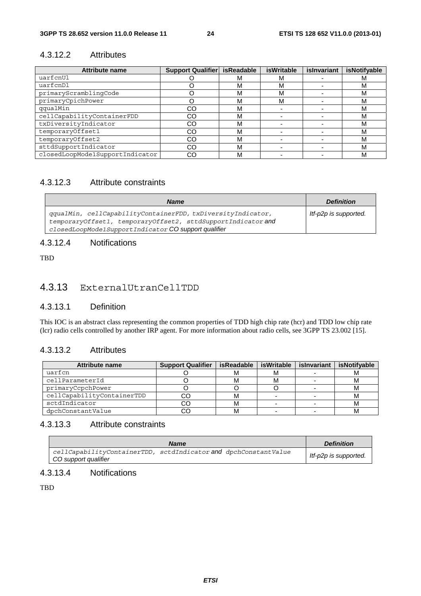#### 4.3.12.2 Attributes

| <b>Attribute name</b>           | Support Qualifier   isReadable |   | <b>isWritable</b> | islnvariant | isNotifyable |
|---------------------------------|--------------------------------|---|-------------------|-------------|--------------|
| uarfcnUl                        |                                | М | м                 |             | м            |
| uarfcnDl                        |                                | М | М                 |             | М            |
| primaryScramblingCode           |                                | м | М                 |             | м            |
| primaryCpichPower               |                                | м | М                 |             | м            |
| qqualMin                        | CO                             | м |                   |             | м            |
| cellCapabilityContainerFDD      | CO                             | М |                   |             | м            |
| txDiversityIndicator            | CO                             | М |                   |             | м            |
| temporaryOffset1                | CO                             | М |                   |             | м            |
| temporaryOffset2                | CO                             | М |                   |             | м            |
| sttdSupportIndicator            | CO                             | М |                   |             | м            |
| closedLoopMode1SupportIndicator | CO                             | М |                   |             | м            |

#### 4.3.12.3 Attribute constraints

| <b>Name</b>                                                                                                                                                                         | <b>Definition</b>     |
|-------------------------------------------------------------------------------------------------------------------------------------------------------------------------------------|-----------------------|
| gqualMin, cellCapabilityContainerFDD, txDiversityIndicator,<br>temporaryOffset1, temporaryOffset2, sttdSupportIndicator and<br>closedLoopMode1SupportIndicator CO support qualifier | ltf-p2p is supported. |

#### 4.3.12.4 Notifications

TBD

### 4.3.13 ExternalUtranCellTDD

#### 4.3.13.1 Definition

This IOC is an abstract class representing the common properties of TDD high chip rate (hcr) and TDD low chip rate (lcr) radio cells controlled by another IRP agent. For more information about radio cells, see 3GPP TS 23.002 [15].

#### 4.3.13.2 Attributes

| Attribute name             | <b>Support Qualifier</b> | isReadable | isWritable | islnvariant | isNotifyable |
|----------------------------|--------------------------|------------|------------|-------------|--------------|
| uarfcn                     |                          |            | м          |             |              |
| cellParameterId            |                          |            | м          |             |              |
| primaryCcpchPower          |                          |            |            |             |              |
| cellCapabilityContainerTDD | CO                       | M          |            |             |              |
| sctdIndicator              | CO                       |            |            |             |              |
| dpchConstantValue          | CC                       |            |            |             |              |

#### 4.3.13.3 Attribute constraints

|                      | <b>Name</b>                                                     | <b>Definition</b>     |
|----------------------|-----------------------------------------------------------------|-----------------------|
| CO support qualifier | cellCapabilityContainerTDD, sctdIndicator and dpchConstantValue | Itf-p2p is supported. |

#### 4.3.13.4 Notifications

TBD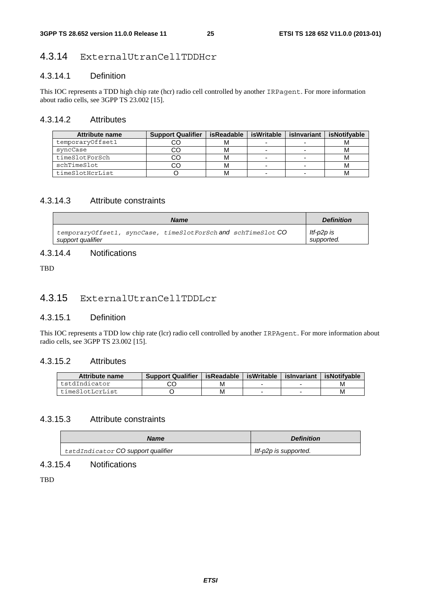#### 4.3.14 ExternalUtranCellTDDHcr

#### 4.3.14.1 Definition

This IOC represents a TDD high chip rate (hcr) radio cell controlled by another IRPagent. For more information about radio cells, see 3GPP TS 23.002 [15].

#### 4.3.14.2 Attributes

| <b>Attribute name</b> | <b>Support Qualifier</b> | <b>isReadable</b> | isWritable | islnvariant | isNotifvable |
|-----------------------|--------------------------|-------------------|------------|-------------|--------------|
| temporaryOffset1      |                          |                   |            |             |              |
| svncCase              |                          |                   |            |             | ΙVΙ          |
| timeSlotForSch        |                          |                   |            |             |              |
| schTimeSlot           |                          |                   |            |             | м            |
| timeSlotHcrList       |                          |                   |            |             |              |

#### 4.3.14.3 Attribute constraints

| <b>Name</b>                                                                        | <b>Definition</b>        |
|------------------------------------------------------------------------------------|--------------------------|
| temporaryOffset1, syncCase, timeSlotForSch and schTimeSlot CO<br>support qualifier | ltf-p2p is<br>supported. |

#### 4.3.14.4 Notifications

**TBD** 

#### 4.3.15 ExternalUtranCellTDDLcr

#### 4.3.15.1 Definition

This IOC represents a TDD low chip rate (lcr) radio cell controlled by another IRPAgent. For more information about radio cells, see 3GPP TS 23.002 [15].

#### 4.3.15.2 Attributes

| Attribute name  | <b>Support Qualifier</b> | sReadable | isWritable | islnvariant | isNotifvable |
|-----------------|--------------------------|-----------|------------|-------------|--------------|
| tstdIndicator   |                          | М         |            |             | м            |
| timeSlotLcrList |                          | м         |            |             | М            |

#### 4.3.15.3 Attribute constraints

| <b>Name</b>                               | <b>Definition</b>     |
|-------------------------------------------|-----------------------|
| tstdIndicator <b>CO support qualifier</b> | ltf-p2p is supported. |

#### 4.3.15.4 Notifications

**TBD**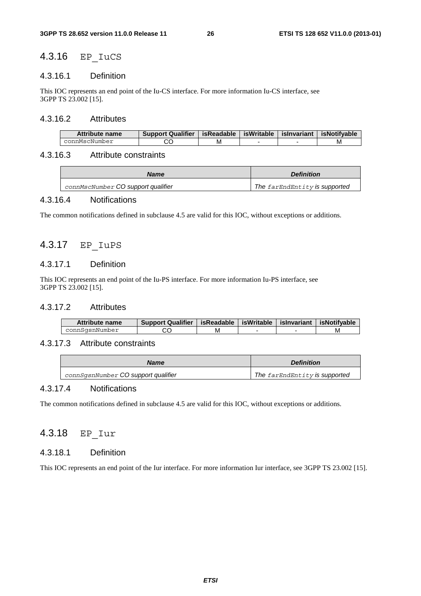#### 4.3.16 EP\_IuCS

#### 4.3.16.1 Definition

This IOC represents an end point of the Iu-CS interface. For more information Iu-CS interface, see 3GPP TS 23.002 [15].

#### 4.3.16.2 Attributes

| Attribute name | <b>Support Qualifier</b> | isReadable | isWritable I | islnvariant | isNotifvable |
|----------------|--------------------------|------------|--------------|-------------|--------------|
| connMscNumber  |                          | М          |              |             | M            |

#### 4.3.16.3 Attribute constraints

| <b>Name</b>                        | <b>Definition</b>             |
|------------------------------------|-------------------------------|
| connMscNumber CO support qualifier | The farEndEntity is supported |

#### 4.3.16.4 Notifications

The common notifications defined in subclause 4.5 are valid for this IOC, without exceptions or additions.

### 4.3.17 EP\_IuPS

#### 4.3.17.1 Definition

This IOC represents an end point of the Iu-PS interface. For more information Iu-PS interface, see 3GPP TS 23.002 [15].

#### 4.3.17.2 Attributes

| Attribute name | <b>Support Qualifier</b> | isReadable | isWritable | islnvariant | isNotifvable |
|----------------|--------------------------|------------|------------|-------------|--------------|
| connSgsnNumber |                          | M          |            |             | M            |

#### 4.3.17.3 Attribute constraints

| <b>Name</b>                                | <b>Definition</b>             |
|--------------------------------------------|-------------------------------|
| connSqsnNumber <b>CO support qualifier</b> | The farEndEntity is supported |

#### 4.3.17.4 Notifications

The common notifications defined in subclause 4.5 are valid for this IOC, without exceptions or additions.

#### 4.3.18 EP\_Iur

#### 4.3.18.1 Definition

This IOC represents an end point of the Iur interface. For more information Iur interface, see 3GPP TS 23.002 [15].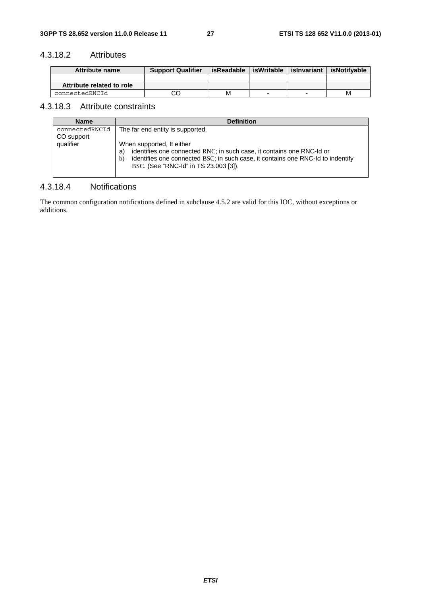#### 4.3.18.2 Attributes

| Attribute name            | <b>Support Qualifier</b> | isReadable | isWritable | islnvariant | isNotifvable |
|---------------------------|--------------------------|------------|------------|-------------|--------------|
|                           |                          |            |            |             |              |
| Attribute related to role |                          |            |            |             |              |
| connectedRNCId            |                          | М          |            |             | M            |

#### 4.3.18.3 Attribute constraints

| <b>Name</b>                               | <b>Definition</b>                                                                                                                                                                                             |
|-------------------------------------------|---------------------------------------------------------------------------------------------------------------------------------------------------------------------------------------------------------------|
| connectedRNCId<br>CO support<br>qualifier | The far end entity is supported.<br>When supported, It either                                                                                                                                                 |
|                                           | identifies one connected RNC; in such case, it contains one RNC-Id or<br>a)<br>identifies one connected BSC; in such case, it contains one RNC-Id to indentify<br>b)<br>BSC. (See "RNC-Id" in TS 23.003 [3]). |

#### 4.3.18.4 Notifications

The common configuration notifications defined in subclause 4.5.2 are valid for this IOC, without exceptions or additions.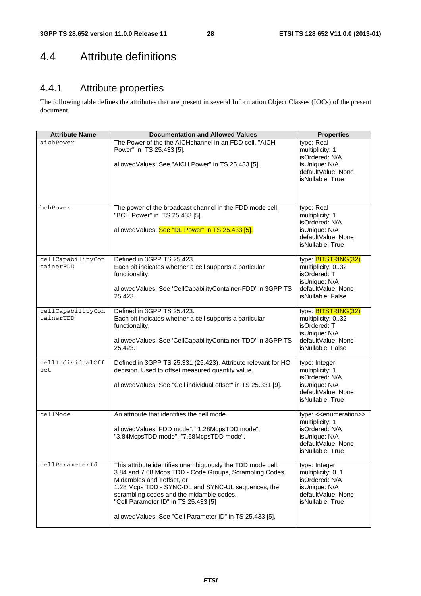# 4.4 Attribute definitions

# 4.4.1 Attribute properties

The following table defines the attributes that are present in several Information Object Classes (IOCs) of the present document.

| <b>Attribute Name</b>          | <b>Documentation and Allowed Values</b>                                                                                                                                                                                                                                                                                                                  | <b>Properties</b>                                                                                                                            |
|--------------------------------|----------------------------------------------------------------------------------------------------------------------------------------------------------------------------------------------------------------------------------------------------------------------------------------------------------------------------------------------------------|----------------------------------------------------------------------------------------------------------------------------------------------|
| aichPower                      | The Power of the the AICHchannel in an FDD cell, "AICH<br>Power" in TS 25.433 [5].<br>allowedValues: See "AICH Power" in TS 25.433 [5].                                                                                                                                                                                                                  | type: Real<br>multiplicity: 1<br>isOrdered: N/A<br>isUnique: N/A<br>defaultValue: None<br>isNullable: True                                   |
| bchPower                       | The power of the broadcast channel in the FDD mode cell,<br>"BCH Power" in TS 25.433 [5].<br>allowedValues: See "DL Power" in TS 25.433 [5].                                                                                                                                                                                                             | type: Real<br>multiplicity: 1<br>isOrdered: N/A<br>isUnique: N/A<br>defaultValue: None<br>isNullable: True                                   |
| cellCapabilityCon<br>tainerFDD | Defined in 3GPP TS 25.423.<br>Each bit indicates whether a cell supports a particular<br>functionality.<br>allowedValues: See 'CellCapabilityContainer-FDD' in 3GPP TS<br>25.423.                                                                                                                                                                        | type: <b>BITSTRING(32)</b><br>multiplicity: 032<br>isOrdered: T<br>isUnique: N/A<br>defaultValue: None<br>isNullable: False                  |
| cellCapabilityCon<br>tainerTDD | Defined in 3GPP TS 25.423.<br>Each bit indicates whether a cell supports a particular<br>functionality.<br>allowedValues: See 'CellCapabilityContainer-TDD' in 3GPP TS<br>25.423.                                                                                                                                                                        | type: <b>BITSTRING(32)</b><br>multiplicity: 032<br>isOrdered: T<br>isUnique: N/A<br>defaultValue: None<br>isNullable: False                  |
| cellIndividualOff<br>set       | Defined in 3GPP TS 25.331 (25.423). Attribute relevant for HO<br>decision. Used to offset measured quantity value.<br>allowedValues: See "Cell individual offset" in TS 25.331 [9].                                                                                                                                                                      | type: Integer<br>multiplicity: 1<br>isOrdered: N/A<br>isUnique: N/A<br>defaultValue: None<br>isNullable: True                                |
| cellMode                       | An attribute that identifies the cell mode.<br>allowedValues: FDD mode", "1.28McpsTDD mode",<br>"3.84McpsTDD mode", "7.68McpsTDD mode".                                                                                                                                                                                                                  | type: < <enumeration>&gt;<br/>multiplicity: 1<br/>isOrdered: N/A<br/>isUnique: N/A<br/>defaultValue: None<br/>isNullable: True</enumeration> |
| cellParameterId                | This attribute identifies unambiguously the TDD mode cell:<br>3.84 and 7.68 Mcps TDD - Code Groups, Scrambling Codes,<br>Midambles and Toffset, or<br>1.28 Mcps TDD - SYNC-DL and SYNC-UL sequences, the<br>scrambling codes and the midamble codes.<br>"Cell Parameter ID" in TS 25.433 [5]<br>allowedValues: See "Cell Parameter ID" in TS 25.433 [5]. | type: Integer<br>multiplicity: 01<br>isOrdered: N/A<br>isUnique: N/A<br>defaultValue: None<br>isNullable: True                               |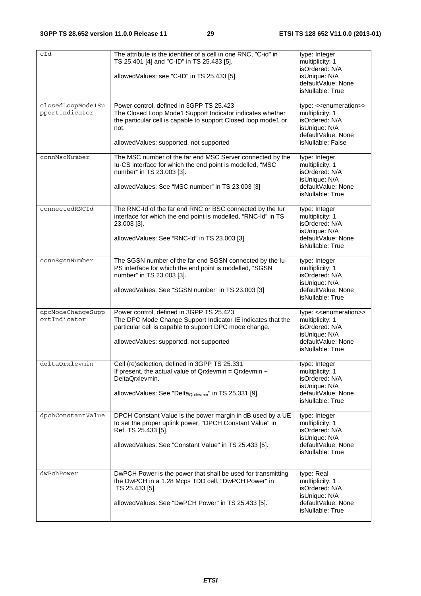| cId                                 | The attribute is the identifier of a cell in one RNC, "C-id" in<br>TS 25.401 [4] and "C-ID" in TS 25.433 [5].<br>allowedValues: see "C-ID" in TS 25.433 [5].                                                               | type: Integer<br>multiplicity: 1<br>isOrdered: N/A<br>isUnique: N/A<br>defaultValue: None<br>isNullable: True                                 |
|-------------------------------------|----------------------------------------------------------------------------------------------------------------------------------------------------------------------------------------------------------------------------|-----------------------------------------------------------------------------------------------------------------------------------------------|
| closedLoopMode1Su<br>pportIndicator | Power control, defined in 3GPP TS 25.423<br>The Closed Loop Mode1 Support Indicator indicates whether<br>the particular cell is capable to support Closed loop mode1 or<br>not.<br>allowedValues: supported, not supported | type: < <enumeration>&gt;<br/>multiplicity: 1<br/>isOrdered: N/A<br/>isUnique: N/A<br/>defaultValue: None<br/>isNullable: False</enumeration> |
| connMscNumber                       | The MSC number of the far end MSC Server connected by the<br>Iu-CS interface for which the end point is modelled, "MSC<br>number" in TS 23.003 [3].<br>allowedValues: See "MSC number" in TS 23.003 [3]                    | type: Integer<br>multiplicity: 1<br>isOrdered: N/A<br>isUnique: N/A<br>defaultValue: None<br>isNullable: True                                 |
| connectedRNCId                      | The RNC-Id of the far end RNC or BSC connected by the lur<br>interface for which the end point is modelled, "RNC-Id" in TS<br>23.003 [3].<br>allowedValues: See "RNC-Id" in TS 23.003 [3]                                  | type: Integer<br>multiplicity: 1<br>isOrdered: N/A<br>isUnique: N/A<br>defaultValue: None<br>isNullable: True                                 |
| connSgsnNumber                      | The SGSN number of the far end SGSN connected by the lu-<br>PS interface for which the end point is modelled, "SGSN<br>number" in TS 23.003 [3].<br>allowedValues: See "SGSN number" in TS 23.003 [3]                      | type: Integer<br>multiplicity: 1<br>isOrdered: N/A<br>isUnique: N/A<br>defaultValue: None<br>isNullable: True                                 |
| dpcModeChangeSupp<br>ortIndicator   | Power control, defined in 3GPP TS 25.423<br>The DPC Mode Change Support Indicator IE indicates that the<br>particular cell is capable to support DPC mode change.<br>allowedValues: supported, not supported               | type: < <enumeration>&gt;<br/>multiplicity: 1<br/>isOrdered: N/A<br/>isUnique: N/A<br/>defaultValue: None<br/>isNullable: True</enumeration>  |
| deltaQrxlevmin                      | Cell (re)selection, defined in 3GPP TS 25.331<br>If present, the actual value of $Qrx$ levmin = $Qrx$ levmin +<br>DeltaQrxlevmin.<br>allowedValues: See "Delta <sub>Qrxlevmin</sub> " in TS 25.331 [9].                    | type: Integer<br>multiplicity: 1<br>isOrdered: N/A<br>isUnique: N/A<br>defaultValue: None<br>isNullable: True                                 |
| dpchConstantValue                   | DPCH Constant Value is the power margin in dB used by a UE<br>to set the proper uplink power, "DPCH Constant Value" in<br>Ref. TS 25.433 [5].<br>allowedValues: See "Constant Value" in TS 25.433 [5].                     | type: Integer<br>multiplicity: 1<br>isOrdered: N/A<br>isUnique: N/A<br>defaultValue: None<br>isNullable: True                                 |
| dwPchPower                          | DwPCH Power is the power that shall be used for transmitting<br>the DwPCH in a 1.28 Mcps TDD cell, "DwPCH Power" in<br>TS 25.433 [5].<br>allowedValues: See "DwPCH Power" in TS 25.433 [5].                                | type: Real<br>multiplicity: 1<br>isOrdered: N/A<br>isUnique: N/A<br>defaultValue: None<br>isNullable: True                                    |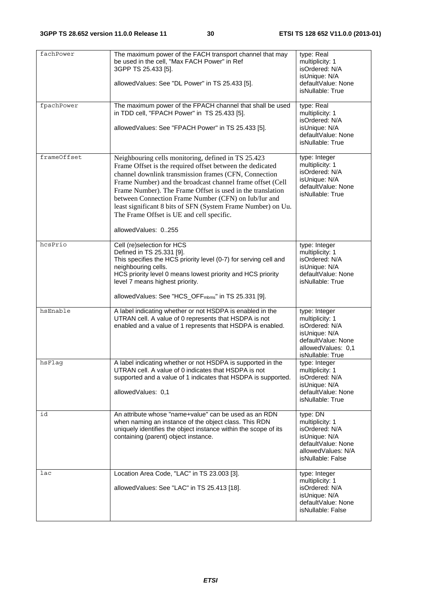| fachPower   | The maximum power of the FACH transport channel that may<br>be used in the cell, "Max FACH Power" in Ref<br>3GPP TS 25.433 [5].<br>allowedValues: See "DL Power" in TS 25.433 [5].                                                                                                                                                                                                                                                                                                                | type: Real<br>multiplicity: 1<br>isOrdered: N/A<br>isUnique: N/A<br>defaultValue: None<br>isNullable: True                          |
|-------------|---------------------------------------------------------------------------------------------------------------------------------------------------------------------------------------------------------------------------------------------------------------------------------------------------------------------------------------------------------------------------------------------------------------------------------------------------------------------------------------------------|-------------------------------------------------------------------------------------------------------------------------------------|
| fpachPower  | The maximum power of the FPACH channel that shall be used<br>in TDD cell, "FPACH Power" in TS 25.433 [5].<br>allowedValues: See "FPACH Power" in TS 25.433 [5].                                                                                                                                                                                                                                                                                                                                   | type: Real<br>multiplicity: 1<br>isOrdered: N/A<br>isUnique: N/A<br>defaultValue: None<br>isNullable: True                          |
| frameOffset | Neighbouring cells monitoring, defined in TS 25.423<br>Frame Offset is the required offset between the dedicated<br>channel downlink transmission frames (CFN, Connection<br>Frame Number) and the broadcast channel frame offset (Cell<br>Frame Number). The Frame Offset is used in the translation<br>between Connection Frame Number (CFN) on Iub/Iur and<br>least significant 8 bits of SFN (System Frame Number) on Uu.<br>The Frame Offset is UE and cell specific.<br>allowedValues: 0255 | type: Integer<br>multiplicity: 1<br>isOrdered: N/A<br>isUnique: N/A<br>defaultValue: None<br>isNullable: True                       |
|             |                                                                                                                                                                                                                                                                                                                                                                                                                                                                                                   |                                                                                                                                     |
| hcsPrio     | Cell (re)selection for HCS<br>Defined in TS 25.331 [9].<br>This specifies the HCS priority level (0-7) for serving cell and<br>neighbouring cells.<br>HCS priority level 0 means lowest priority and HCS priority<br>level 7 means highest priority.                                                                                                                                                                                                                                              | type: Integer<br>multiplicity: 1<br>isOrdered: N/A<br>isUnique: N/A<br>defaultValue: None<br>isNullable: True                       |
|             | allowedValues: See "HCS_OFF <sub>mbms</sub> " in TS 25.331 [9].                                                                                                                                                                                                                                                                                                                                                                                                                                   |                                                                                                                                     |
| hsEnable    | A label indicating whether or not HSDPA is enabled in the<br>UTRAN cell. A value of 0 represents that HSDPA is not<br>enabled and a value of 1 represents that HSDPA is enabled.                                                                                                                                                                                                                                                                                                                  | type: Integer<br>multiplicity: 1<br>isOrdered: N/A<br>isUnique: N/A<br>defaultValue: None<br>allowedValues: 0,1<br>isNullable: True |
| hsFlag      | A label indicating whether or not HSDPA is supported in the<br>UTRAN cell. A value of 0 indicates that HSDPA is not<br>supported and a value of 1 indicates that HSDPA is supported.<br>allowedValues: 0,1                                                                                                                                                                                                                                                                                        | type: Integer<br>multiplicity: 1<br>isOrdered: N/A<br>isUnique: N/A<br>defaultValue: None<br>isNullable: True                       |
| id          | An attribute whose "name+value" can be used as an RDN<br>when naming an instance of the object class. This RDN<br>uniquely identifies the object instance within the scope of its<br>containing (parent) object instance.                                                                                                                                                                                                                                                                         | type: DN<br>multiplicity: 1<br>isOrdered: N/A<br>isUnique: N/A<br>defaultValue: None<br>allowedValues: N/A<br>isNullable: False     |
| lac         | Location Area Code, "LAC" in TS 23.003 [3].<br>allowedValues: See "LAC" in TS 25.413 [18].                                                                                                                                                                                                                                                                                                                                                                                                        | type: Integer<br>multiplicity: 1<br>isOrdered: N/A<br>isUnique: N/A<br>defaultValue: None<br>isNullable: False                      |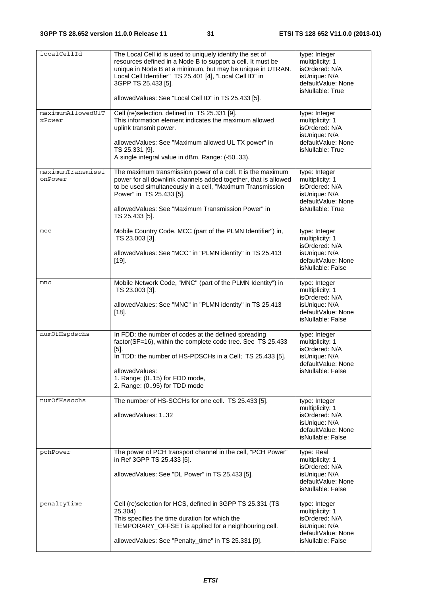| localCellId                  | The Local Cell id is used to uniquely identify the set of<br>resources defined in a Node B to support a cell. It must be<br>unique in Node B at a minimum, but may be unique in UTRAN.<br>Local Cell Identifier" TS 25.401 [4], "Local Cell ID" in<br>3GPP TS 25.433 [5].<br>allowedValues: See "Local Cell ID" in TS 25.433 [5]. | type: Integer<br>multiplicity: 1<br>isOrdered: N/A<br>isUnique: N/A<br>defaultValue: None<br>isNullable: True  |
|------------------------------|-----------------------------------------------------------------------------------------------------------------------------------------------------------------------------------------------------------------------------------------------------------------------------------------------------------------------------------|----------------------------------------------------------------------------------------------------------------|
| maximumAllowedUlT<br>xPower  | Cell (re)selection, defined in TS 25.331 [9].<br>This information element indicates the maximum allowed<br>uplink transmit power.<br>allowedValues: See "Maximum allowed UL TX power" in<br>TS 25.331 [9].<br>A single integral value in dBm. Range: (-5033).                                                                     | type: Integer<br>multiplicity: 1<br>isOrdered: N/A<br>isUnique: N/A<br>defaultValue: None<br>isNullable: True  |
| maximumTransmissi<br>onPower | The maximum transmission power of a cell. It is the maximum<br>power for all downlink channels added together, that is allowed<br>to be used simultaneously in a cell, "Maximum Transmission<br>Power" in TS 25.433 [5].<br>allowedValues: See "Maximum Transmission Power" in<br>TS 25.433 [5].                                  | type: Integer<br>multiplicity: 1<br>isOrdered: N/A<br>isUnique: N/A<br>defaultValue: None<br>isNullable: True  |
| mcc                          | Mobile Country Code, MCC (part of the PLMN Identifier") in,<br>TS 23.003 [3].<br>allowedValues: See "MCC" in "PLMN identity" in TS 25.413<br>$[19]$ .                                                                                                                                                                             | type: Integer<br>multiplicity: 1<br>isOrdered: N/A<br>isUnique: N/A<br>defaultValue: None<br>isNullable: False |
| mnc                          | Mobile Network Code, "MNC" (part of the PLMN Identity") in<br>TS 23.003 [3].<br>allowedValues: See "MNC" in "PLMN identity" in TS 25.413<br>$[18]$ .                                                                                                                                                                              | type: Integer<br>multiplicity: 1<br>isOrdered: N/A<br>isUnique: N/A<br>defaultValue: None<br>isNullable: False |
| numOfHspdschs                | In FDD: the number of codes at the defined spreading<br>factor(SF=16), within the complete code tree. See TS 25.433<br>$[5]$ .<br>In TDD: the number of HS-PDSCHs in a Cell; TS 25.433 [5].<br>allowedValues:<br>1. Range: (015) for FDD mode,<br>2. Range: (095) for TDD mode                                                    | type: Integer<br>multiplicity: 1<br>isOrdered: N/A<br>isUnique: N/A<br>defaultValue: None<br>isNullable: False |
| numOfHsscchs                 | The number of HS-SCCHs for one cell. TS 25.433 [5].<br>allowedValues: 132                                                                                                                                                                                                                                                         | type: Integer<br>multiplicity: 1<br>isOrdered: N/A<br>isUnique: N/A<br>defaultValue: None<br>isNullable: False |
| pchPower                     | The power of PCH transport channel in the cell, "PCH Power"<br>in Ref 3GPP TS 25.433 [5].<br>allowedValues: See "DL Power" in TS 25.433 [5].                                                                                                                                                                                      | type: Real<br>multiplicity: 1<br>isOrdered: N/A<br>isUnique: N/A<br>defaultValue: None<br>isNullable: False    |
| penaltyTime                  | Cell (re)selection for HCS, defined in 3GPP TS 25.331 (TS<br>25.304)<br>This specifies the time duration for which the<br>TEMPORARY_OFFSET is applied for a neighbouring cell.<br>allowedValues: See "Penalty_time" in TS 25.331 [9].                                                                                             | type: Integer<br>multiplicity: 1<br>isOrdered: N/A<br>isUnique: N/A<br>defaultValue: None<br>isNullable: False |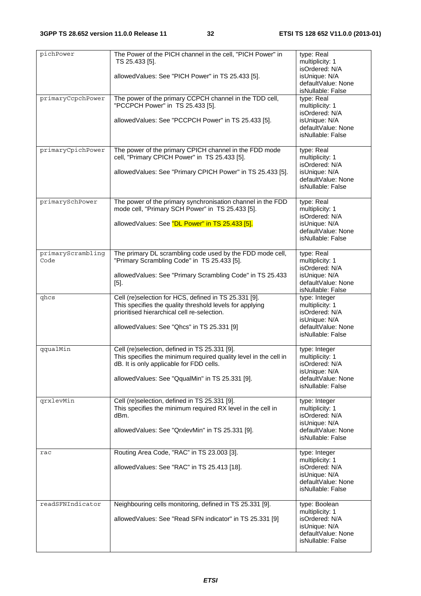| pichPower                 | The Power of the PICH channel in the cell, "PICH Power" in<br>TS 25.433 [5].<br>allowedValues: See "PICH Power" in TS 25.433 [5].                                | type: Real<br>multiplicity: 1<br>isOrdered: N/A<br>isUnique: N/A                              |
|---------------------------|------------------------------------------------------------------------------------------------------------------------------------------------------------------|-----------------------------------------------------------------------------------------------|
|                           |                                                                                                                                                                  | defaultValue: None<br>isNullable: False                                                       |
| primaryCcpchPower         | The power of the primary CCPCH channel in the TDD cell,<br>"PCCPCH Power" in TS 25.433 [5].                                                                      | type: Real<br>multiplicity: 1<br>isOrdered: N/A                                               |
|                           | allowedValues: See "PCCPCH Power" in TS 25.433 [5].                                                                                                              | isUnique: N/A<br>defaultValue: None<br>isNullable: False                                      |
| primaryCpichPower         | The power of the primary CPICH channel in the FDD mode                                                                                                           | type: Real                                                                                    |
|                           | cell, "Primary CPICH Power" in TS 25.433 [5].<br>allowedValues: See "Primary CPICH Power" in TS 25.433 [5].                                                      | multiplicity: 1<br>isOrdered: N/A<br>isUnique: N/A                                            |
|                           |                                                                                                                                                                  | defaultValue: None<br>isNullable: False                                                       |
| primarySchPower           | The power of the primary synchronisation channel in the FDD<br>mode cell, "Primary SCH Power" in TS 25.433 [5].                                                  | type: Real<br>multiplicity: 1<br>isOrdered: N/A                                               |
|                           | allowedValues: See "DL Power" in TS 25.433 [5].                                                                                                                  | isUnique: N/A<br>defaultValue: None<br>isNullable: False                                      |
| primaryScrambling<br>Code | The primary DL scrambling code used by the FDD mode cell,<br>"Primary Scrambling Code" in TS 25.433 [5].                                                         | type: Real<br>multiplicity: 1                                                                 |
|                           | allowedValues: See "Primary Scrambling Code" in TS 25.433<br>$[5]$ .                                                                                             | isOrdered: N/A<br>isUnique: N/A<br>defaultValue: None<br>isNullable: False                    |
| qhcs                      | Cell (re)selection for HCS, defined in TS 25.331 [9].<br>This specifies the quality threshold levels for applying<br>prioritised hierarchical cell re-selection. | type: Integer<br>multiplicity: 1<br>isOrdered: N/A<br>isUnique: N/A                           |
|                           | allowedValues: See "Qhcs" in TS 25.331 [9]                                                                                                                       | defaultValue: None<br>isNullable: False                                                       |
| qqualMin                  | Cell (re)selection, defined in TS 25.331 [9].<br>This specifies the minimum required quality level in the cell in<br>dB. It is only applicable for FDD cells.    | type: Integer<br>multiplicity: 1<br>isOrdered: N/A                                            |
|                           | allowedValues: See "QqualMin" in TS 25.331 [9].                                                                                                                  | isUnique: N/A<br>defaultValue: None<br>isNullable: False                                      |
| qrxlevMin                 | Cell (re)selection, defined in TS 25.331 [9].<br>This specifies the minimum required RX level in the cell in<br>dBm.                                             | type: Integer<br>multiplicity: 1<br>isOrdered: N/A                                            |
|                           | allowedValues: See "QrxlevMin" in TS 25.331 [9].                                                                                                                 | isUnique: N/A<br>defaultValue: None<br>isNullable: False                                      |
| rac                       | Routing Area Code, "RAC" in TS 23.003 [3].                                                                                                                       | type: Integer                                                                                 |
|                           | allowedValues: See "RAC" in TS 25.413 [18].                                                                                                                      | multiplicity: 1<br>isOrdered: N/A<br>isUnique: N/A<br>defaultValue: None<br>isNullable: False |
| readSFNIndicator          | Neighbouring cells monitoring, defined in TS 25.331 [9].                                                                                                         | type: Boolean                                                                                 |
|                           | allowed Values: See "Read SFN indicator" in TS 25.331 [9]                                                                                                        | multiplicity: 1<br>isOrdered: N/A<br>isUnique: N/A<br>defaultValue: None<br>isNullable: False |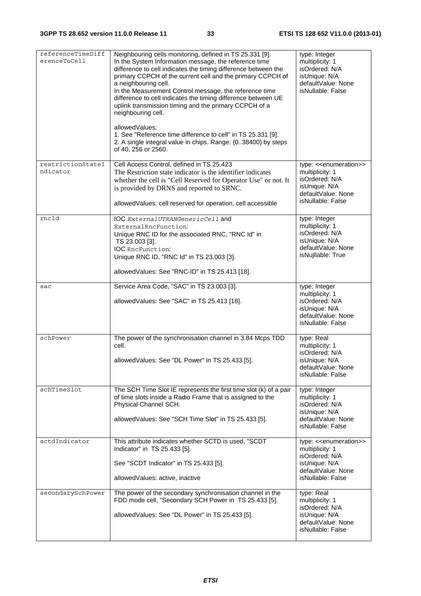| referenceTimeDiff<br>erenceToCell | Neighbouring cells monitoring, defined in TS 25.331 [9].<br>In the System Information message, the reference time<br>difference to cell indicates the timing difference between the<br>primary CCPCH of the current cell and the primary CCPCH of<br>a neighbouring cell.<br>In the Measurement Control message, the reference time<br>difference to cell indicates the timing difference between UE<br>uplink transmission timing and the primary CCPCH of a<br>neighbouring cell.<br>allowedValues:<br>1. See "Reference time difference to cell" in TS 25.331 [9].<br>2. A single integral value in chips. Range: (038400) by steps<br>of 40, 256 or 2560. | type: Integer<br>multiplicity: 1<br>isOrdered: N/A<br>isUnique: N/A<br>defaultValue: None<br>isNullable: False |
|-----------------------------------|---------------------------------------------------------------------------------------------------------------------------------------------------------------------------------------------------------------------------------------------------------------------------------------------------------------------------------------------------------------------------------------------------------------------------------------------------------------------------------------------------------------------------------------------------------------------------------------------------------------------------------------------------------------|----------------------------------------------------------------------------------------------------------------|
| restrictionStateI                 | Cell Access Control, defined in TS 25.423                                                                                                                                                                                                                                                                                                                                                                                                                                                                                                                                                                                                                     | type: << enumeration>>                                                                                         |
| ndicator                          | The Restriction state indicator is the identifier indicates<br>whether the cell is "Cell Reserved for Operator Use" or not. It<br>is provided by DRNS and reported to SRNC.<br>allowedValues: cell reserved for operation, cell accessible                                                                                                                                                                                                                                                                                                                                                                                                                    | multiplicity: 1<br>isOrdered: N/A<br>isUnique: N/A<br>defaultValue: None<br>isNullable: False                  |
| rncId                             | IOC ExternalUTRANGenericCell and                                                                                                                                                                                                                                                                                                                                                                                                                                                                                                                                                                                                                              | type: Integer                                                                                                  |
|                                   | ExternalRncFunction:<br>Unique RNC ID for the associated RNC, "RNC Id" in<br>TS 23.003 [3].<br><b>IOC</b> RncFunction:<br>Unique RNC ID, "RNC Id" in TS 23.003 [3].<br>allowedValues: See "RNC-ID" in TS 25.413 [18].                                                                                                                                                                                                                                                                                                                                                                                                                                         | multiplicity: 1<br>isOrdered: N/A<br>isUnique: N/A<br>defaultValue: None<br>isNujllable: True                  |
|                                   |                                                                                                                                                                                                                                                                                                                                                                                                                                                                                                                                                                                                                                                               |                                                                                                                |
| sac                               | Service Area Code, "SAC" in TS 23.003 [3].<br>allowedValues: See "SAC" in TS 25.413 [18].                                                                                                                                                                                                                                                                                                                                                                                                                                                                                                                                                                     | type: Integer<br>multiplicity: 1<br>isOrdered: N/A<br>isUnique: N/A<br>defaultValue: None<br>isNullable: False |
| schPower                          | The power of the synchronisation channel in 3.84 Mcps TDD                                                                                                                                                                                                                                                                                                                                                                                                                                                                                                                                                                                                     | type: Real                                                                                                     |
|                                   | cell.<br>allowedValues: See "DL Power" in TS 25.433 [5].                                                                                                                                                                                                                                                                                                                                                                                                                                                                                                                                                                                                      | multiplicity: 1<br>isOrdered: N/A<br>isUnique: N/A<br>defaultValue: None<br>isNullable: False                  |
| schTimeSlot                       | The SCH Time Slot IE represents the first time slot (k) of a pair                                                                                                                                                                                                                                                                                                                                                                                                                                                                                                                                                                                             | type: Integer                                                                                                  |
|                                   | of time slots inside a Radio Frame that is assigned to the<br>Physical Channel SCH.<br>allowedValues: See "SCH Time Slot" in TS 25.433 [5].                                                                                                                                                                                                                                                                                                                                                                                                                                                                                                                   | multiplicity: 1<br>isOrdered: N/A<br>isUnique: N/A<br>defaultValue: None<br>isNullable: False                  |
| sctdIndicator                     | This attribute indicates whether SCTD is used, "SCDT                                                                                                                                                                                                                                                                                                                                                                                                                                                                                                                                                                                                          | type: < <enumeration>&gt;</enumeration>                                                                        |
|                                   | Indicator" in TS 25.433 [5].                                                                                                                                                                                                                                                                                                                                                                                                                                                                                                                                                                                                                                  | multiplicity: 1<br>isOrdered: N/A                                                                              |
|                                   | See "SCDT Indicator" in TS 25.433 [5].                                                                                                                                                                                                                                                                                                                                                                                                                                                                                                                                                                                                                        | isUnique: N/A<br>defaultValue: None                                                                            |
|                                   | allowedValues: active, inactive                                                                                                                                                                                                                                                                                                                                                                                                                                                                                                                                                                                                                               | isNullable: False                                                                                              |
| secondarySchPower                 | The power of the secondary synchronisation channel in the                                                                                                                                                                                                                                                                                                                                                                                                                                                                                                                                                                                                     | type: Real                                                                                                     |
|                                   | FDD mode cell, "Secondary SCH Power in TS 25.433 [5].                                                                                                                                                                                                                                                                                                                                                                                                                                                                                                                                                                                                         | multiplicity: 1                                                                                                |
|                                   | allowed Values: See "DL Power" in TS 25.433 [5].                                                                                                                                                                                                                                                                                                                                                                                                                                                                                                                                                                                                              | isOrdered: N/A<br>isUnique: N/A<br>defaultValue: None<br>isNullable: False                                     |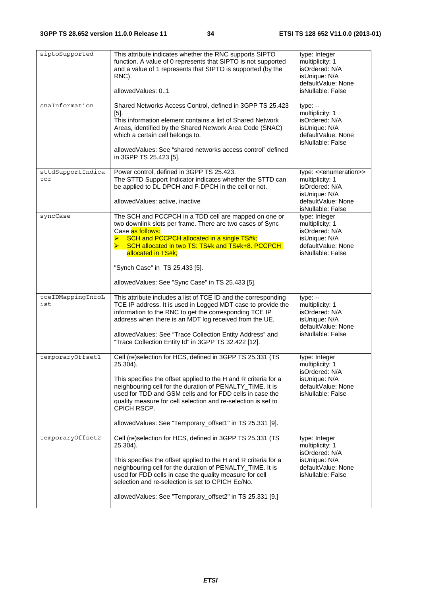| siptoSupported           | This attribute indicates whether the RNC supports SIPTO<br>function. A value of 0 represents that SIPTO is not supported<br>and a value of 1 represents that SIPTO is supported (by the<br>RNC).<br>allowedValues: 01                                                                                                                                                                                         | type: Integer<br>multiplicity: 1<br>isOrdered: N/A<br>isUnique: N/A<br>defaultValue: None<br>isNullable: False                                |
|--------------------------|---------------------------------------------------------------------------------------------------------------------------------------------------------------------------------------------------------------------------------------------------------------------------------------------------------------------------------------------------------------------------------------------------------------|-----------------------------------------------------------------------------------------------------------------------------------------------|
| snaInformation           | Shared Networks Access Control, defined in 3GPP TS 25.423<br>$[5]$ .<br>This information element contains a list of Shared Network<br>Areas, identified by the Shared Network Area Code (SNAC)<br>which a certain cell belongs to.<br>allowed Values: See "shared networks access control" defined<br>in 3GPP TS 25.423 [5].                                                                                  | $type: -$<br>multiplicity: 1<br>isOrdered: N/A<br>isUnique: N/A<br>defaultValue: None<br>isNullable: False                                    |
| sttdSupportIndica<br>tor | Power control, defined in 3GPP TS 25.423.<br>The STTD Support Indicator indicates whether the STTD can<br>be applied to DL DPCH and F-DPCH in the cell or not.<br>allowedValues: active, inactive                                                                                                                                                                                                             | type: < <enumeration>&gt;<br/>multiplicity: 1<br/>isOrdered: N/A<br/>isUnique: N/A<br/>defaultValue: None<br/>isNullable: False</enumeration> |
| syncCase                 | The SCH and PCCPCH in a TDD cell are mapped on one or<br>two downlink slots per frame. There are two cases of Sync<br>Case as follows:<br>SCH and PCCPCH allocated in a single TS#k;<br>$\blacktriangleright$<br>SCH allocated in two TS: TS#k and TS#k+8. PCCPCH<br>allocated in TS#k;<br>"Synch Case" in TS 25.433 [5].                                                                                     | type: Integer<br>multiplicity: 1<br>isOrdered: N/A<br>isUnique: N/A<br>defaultValue: None<br>isNullable: False                                |
|                          | allowedValues: See "Sync Case" in TS 25.433 [5].                                                                                                                                                                                                                                                                                                                                                              |                                                                                                                                               |
| tceIDMappingInfoL<br>ist | This attribute includes a list of TCE ID and the corresponding<br>TCE IP address. It is used in Logged MDT case to provide the<br>information to the RNC to get the corresponding TCE IP<br>address when there is an MDT log received from the UE.<br>allowedValues: See "Trace Collection Entity Address" and<br>"Trace Collection Entity Id" in 3GPP TS 32.422 [12].                                        | $type: -$<br>multiplicity: 1<br>isOrdered: N/A<br>isUnique: N/A<br>defaultValue: None<br>isNullable: False                                    |
| temporaryOffset1         | Cell (re)selection for HCS, defined in 3GPP TS 25.331 (TS<br>25.304).<br>This specifies the offset applied to the H and R criteria for a<br>neighbouring cell for the duration of PENALTY_TIME. It is<br>used for TDD and GSM cells and for FDD cells in case the<br>quality measure for cell selection and re-selection is set to<br>CPICH RSCP.<br>allowedValues: See "Temporary_offset1" in TS 25.331 [9]. | type: Integer<br>multiplicity: 1<br>isOrdered: N/A<br>isUnique: N/A<br>defaultValue: None<br>isNullable: False                                |
| temporaryOffset2         | Cell (re)selection for HCS, defined in 3GPP TS 25.331 (TS<br>25.304).<br>This specifies the offset applied to the H and R criteria for a<br>neighbouring cell for the duration of PENALTY_TIME. It is<br>used for FDD cells in case the quality measure for cell<br>selection and re-selection is set to CPICH Ec/No.<br>allowedValues: See "Temporary_offset2" in TS 25.331 [9.]                             | type: Integer<br>multiplicity: 1<br>isOrdered: N/A<br>isUnique: N/A<br>defaultValue: None<br>isNullable: False                                |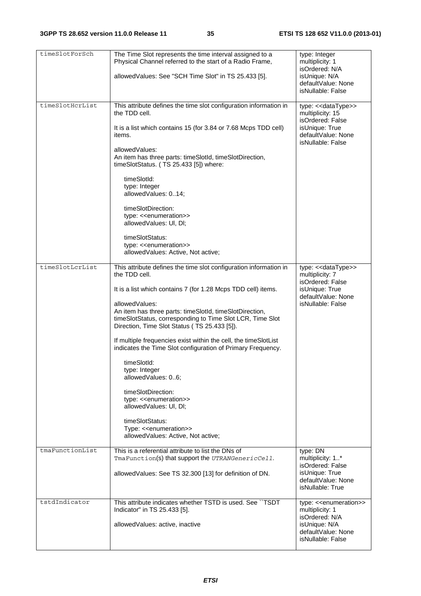| timeSlotForSch  | The Time Slot represents the time interval assigned to a<br>type: Integer<br>Physical Channel referred to the start of a Radio Frame,<br>multiplicity: 1<br>isOrdered: N/A<br>allowedValues: See "SCH Time Slot" in TS 25.433 [5].<br>isUnique: N/A<br>defaultValue: None<br>isNullable: False                                                                                                                                                                                                                                                                                                                                                                                                                                             |                                                                                                                                               |  |  |  |
|-----------------|--------------------------------------------------------------------------------------------------------------------------------------------------------------------------------------------------------------------------------------------------------------------------------------------------------------------------------------------------------------------------------------------------------------------------------------------------------------------------------------------------------------------------------------------------------------------------------------------------------------------------------------------------------------------------------------------------------------------------------------------|-----------------------------------------------------------------------------------------------------------------------------------------------|--|--|--|
| timeSlotHcrList | This attribute defines the time slot configuration information in<br>the TDD cell.<br>It is a list which contains 15 (for 3.84 or 7.68 Mcps TDD cell)<br>items.<br>allowedValues:<br>An item has three parts: timeSlotId, timeSlotDirection,<br>timeSlotStatus. (TS 25.433 [5]) where:<br>timeSlotId:<br>type: Integer<br>allowedValues: 014;<br>timeSlotDirection:<br>type: < <enumeration>&gt;<br/>allowedValues: UI, DI;</enumeration>                                                                                                                                                                                                                                                                                                  | type: << dataType>><br>multiplicity: 15<br>isOrdered: False<br>isUnique: True<br>defaultValue: None<br>isNullable: False                      |  |  |  |
|                 | timeSlotStatus:<br>type: < <enumeration>&gt;<br/>allowedValues: Active, Not active;</enumeration>                                                                                                                                                                                                                                                                                                                                                                                                                                                                                                                                                                                                                                          |                                                                                                                                               |  |  |  |
| timeSlotLcrList | This attribute defines the time slot configuration information in<br>the TDD cell.<br>It is a list which contains 7 (for 1.28 Mcps TDD cell) items.<br>allowedValues:<br>An item has three parts: timeSlotId, timeSlotDirection,<br>timeSlotStatus, corresponding to Time Slot LCR, Time Slot<br>Direction, Time Slot Status (TS 25.433 [5]).<br>If multiple frequencies exist within the cell, the timeSlotList<br>indicates the Time Slot configuration of Primary Frequency.<br>timeSlotId:<br>type: Integer<br>allowedValues: 06;<br>timeSlotDirection:<br>type: < <enumeration>&gt;<br/>allowedValues: UI, DI;<br/>timeSlotStatus:<br/>Type: &lt;<enumeration>&gt;<br/>allowedValues: Active, Not active;</enumeration></enumeration> | type: << dataType>><br>multiplicity: 7<br>isOrdered: False<br>isUnique: True<br>defaultValue: None<br>isNullable: False                       |  |  |  |
| tmaFunctionList | This is a referential attribute to list the DNs of<br>TmaFunction(s) that support the UTRANGenericCell.<br>allowedValues: See TS 32.300 [13] for definition of DN.                                                                                                                                                                                                                                                                                                                                                                                                                                                                                                                                                                         | type: DN<br>multiplicity: 1*<br>isOrdered: False<br>isUnique: True<br>defaultValue: None<br>isNullable: True                                  |  |  |  |
| tstdIndicator   | This attribute indicates whether TSTD is used. See `TSDT<br>Indicator" in TS 25.433 [5].<br>allowedValues: active, inactive                                                                                                                                                                                                                                                                                                                                                                                                                                                                                                                                                                                                                | type: < <enumeration>&gt;<br/>multiplicity: 1<br/>isOrdered: N/A<br/>isUnique: N/A<br/>defaultValue: None<br/>isNullable: False</enumeration> |  |  |  |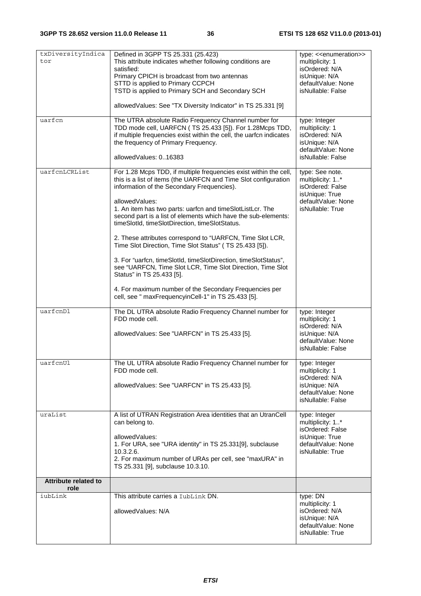| txDiversityIndica<br>tor            | Defined in 3GPP TS 25.331 (25.423)<br>This attribute indicates whether following conditions are<br>satisfied:<br>Primary CPICH is broadcast from two antennas<br>STTD is applied to Primary CCPCH<br>TSTD is applied to Primary SCH and Secondary SCH<br>allowedValues: See "TX Diversity Indicator" in TS 25.331 [9]                                                                                                                                                                                                                                                                                                                                                                                                                                                                        | type: < <enumeration>&gt;<br/>multiplicity: 1<br/>isOrdered: N/A<br/>isUnique: N/A<br/>defaultValue: None<br/>isNullable: False</enumeration> |
|-------------------------------------|----------------------------------------------------------------------------------------------------------------------------------------------------------------------------------------------------------------------------------------------------------------------------------------------------------------------------------------------------------------------------------------------------------------------------------------------------------------------------------------------------------------------------------------------------------------------------------------------------------------------------------------------------------------------------------------------------------------------------------------------------------------------------------------------|-----------------------------------------------------------------------------------------------------------------------------------------------|
| uarfcn                              | The UTRA absolute Radio Frequency Channel number for<br>TDD mode cell, UARFCN (TS 25.433 [5]). For 1.28Mcps TDD,<br>if multiple frequencies exist within the cell, the uarfon indicates<br>the frequency of Primary Frequency.<br>allowedValues: 016383                                                                                                                                                                                                                                                                                                                                                                                                                                                                                                                                      | type: Integer<br>multiplicity: 1<br>isOrdered: N/A<br>isUnique: N/A<br>defaultValue: None<br>isNullable: False                                |
| uarfcnLCRList                       | For 1.28 Mcps TDD, if multiple frequencies exist within the cell,<br>this is a list of items (the UARFCN and Time Slot configuration<br>information of the Secondary Frequencies).<br>allowedValues:<br>1. An item has two parts: uarfcn and timeSlotListLcr. The<br>second part is a list of elements which have the sub-elements:<br>timeSlotId, timeSlotDirection, timeSlotStatus.<br>2. These attributes correspond to "UARFCN, Time Slot LCR,<br>Time Slot Direction, Time Slot Status" (TS 25.433 [5]).<br>3. For "uarfcn, timeSlotId, timeSlotDirection, timeSlotStatus",<br>see "UARFCN, Time Slot LCR, Time Slot Direction, Time Slot<br>Status" in TS 25.433 [5].<br>4. For maximum number of the Secondary Frequencies per<br>cell, see " maxFrequencyinCell-1" in TS 25.433 [5]. | type: See note.<br>multiplicity: 1*<br>isOrdered: False<br>isUnique: True<br>defaultValue: None<br>isNullable: True                           |
| uarfcnDl                            | The DL UTRA absolute Radio Frequency Channel number for<br>FDD mode cell.<br>allowedValues: See "UARFCN" in TS 25.433 [5].                                                                                                                                                                                                                                                                                                                                                                                                                                                                                                                                                                                                                                                                   | type: Integer<br>multiplicity: 1<br>isOrdered: N/A<br>isUnique: N/A<br>defaultValue: None<br>isNullable: False                                |
| uarfcnUl                            | The UL UTRA absolute Radio Frequency Channel number for<br>FDD mode cell.<br>allowedValues: See "UARFCN" in TS 25.433 [5].                                                                                                                                                                                                                                                                                                                                                                                                                                                                                                                                                                                                                                                                   | type: Integer<br>multiplicity: 1<br>isOrdered: N/A<br>isUnique: N/A<br>defaultValue: None<br>isNullable: False                                |
| uraList                             | A list of UTRAN Registration Area identities that an UtranCell<br>can belong to.<br>allowedValues:<br>1. For URA, see "URA identity" in TS 25.331[9], subclause<br>10.3.2.6.<br>2. For maximum number of URAs per cell, see "maxURA" in<br>TS 25.331 [9], subclause 10.3.10.                                                                                                                                                                                                                                                                                                                                                                                                                                                                                                                 | type: Integer<br>multiplicity: 1*<br>isOrdered: False<br>isUnique: True<br>defaultValue: None<br>isNullable: True                             |
| <b>Attribute related to</b><br>role |                                                                                                                                                                                                                                                                                                                                                                                                                                                                                                                                                                                                                                                                                                                                                                                              |                                                                                                                                               |
| iubLink                             | This attribute carries a IubLink DN.<br>allowedValues: N/A                                                                                                                                                                                                                                                                                                                                                                                                                                                                                                                                                                                                                                                                                                                                   | type: DN<br>multiplicity: 1<br>isOrdered: N/A<br>isUnique: N/A<br>defaultValue: None<br>isNullable: True                                      |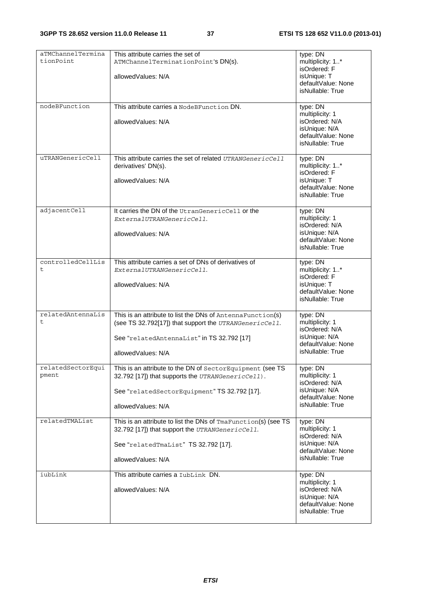| aTMChannelTermina<br>tionPoint | This attribute carries the set of<br>ATMChannelTerminationPoint's DN(s).<br>allowedValues: N/A                                                                                            | type: DN<br>multiplicity: 1*<br>isOrdered: F<br>isUnique: T<br>defaultValue: None<br>isNullable: True    |
|--------------------------------|-------------------------------------------------------------------------------------------------------------------------------------------------------------------------------------------|----------------------------------------------------------------------------------------------------------|
| nodeBFunction                  | This attribute carries a NodeBFunction DN.<br>allowedValues: N/A                                                                                                                          | type: DN<br>multiplicity: 1<br>isOrdered: N/A<br>isUnique: N/A<br>defaultValue: None<br>isNullable: True |
| uTRANGenericCell               | This attribute carries the set of related UTRANGenericCell<br>derivatives' DN(s).<br>allowedValues: N/A                                                                                   | type: DN<br>multiplicity: 1*<br>isOrdered: F<br>isUnique: T<br>defaultValue: None<br>isNullable: True    |
| adjacentCell                   | It carries the DN of the UtranGenericCell or the<br>ExternalUTRANGenericCell.<br>allowedValues: N/A                                                                                       | type: DN<br>multiplicity: 1<br>isOrdered: N/A<br>isUnique: N/A<br>defaultValue: None<br>isNullable: True |
| controlledCellLis<br>t         | This attribute carries a set of DNs of derivatives of<br>ExternalUTRANGenericCell.<br>allowedValues: N/A                                                                                  | type: DN<br>multiplicity: 1*<br>isOrdered: F<br>isUnique: T<br>defaultValue: None<br>isNullable: True    |
| relatedAntennaLis<br>t         | This is an attribute to list the DNs of AntennaFunction(s)<br>(see TS 32.792[17]) that support the UTRANGenericCell.<br>See "relatedAntennaList" in TS 32.792 [17]<br>allowed Values: N/A | type: DN<br>multiplicity: 1<br>isOrdered: N/A<br>isUnique: N/A<br>defaultValue: None<br>isNullable: True |
| relatedSectorEqui<br>pment     | This is an attribute to the DN of SectorEquipment (see TS<br>32.792 [17]) that supports the UTRANGenericCell).<br>See "relatedSectorEquipment" TS 32.792 [17].<br>allowedValues: N/A      | type: DN<br>multiplicity: 1<br>isOrdered: N/A<br>isUnique: N/A<br>defaultValue: None<br>isNullable: True |
| relatedTMAList                 | This is an attribute to list the DNs of TmaFunction(s) (see TS<br>32.792 [17]) that support the UTRANGenericCell.<br>See "relatedTmaList" TS 32.792 [17].<br>allowedValues: N/A           | type: DN<br>multiplicity: 1<br>isOrdered: N/A<br>isUnique: N/A<br>defaultValue: None<br>isNullable: True |
| iubLink                        | This attribute carries a LubLink DN.<br>allowedValues: N/A                                                                                                                                | type: DN<br>multiplicity: 1<br>isOrdered: N/A<br>isUnique: N/A<br>defaultValue: None<br>isNullable: True |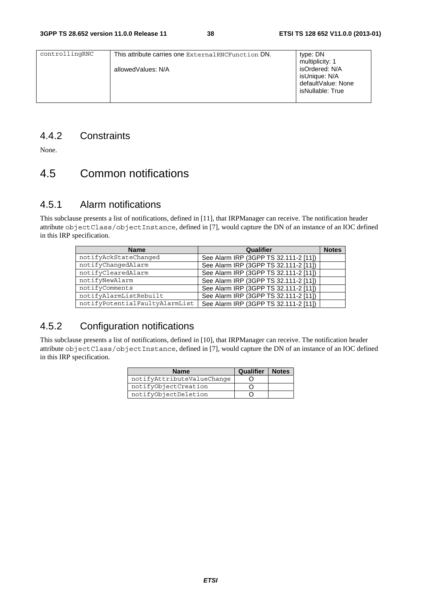| This attribute carries one External RNCFunction DN. | type: DN           |
|-----------------------------------------------------|--------------------|
|                                                     | multiplicity: 1    |
| allowedValues: N/A                                  | isOrdered: N/A     |
|                                                     | isUnique: N/A      |
|                                                     | defaultValue: None |
|                                                     | isNullable: True   |
|                                                     |                    |
|                                                     |                    |

### 4.4.2 Constraints

None.

# 4.5 Common notifications

#### 4.5.1 Alarm notifications

This subclause presents a list of notifications, defined in [11], that IRPManager can receive. The notification header attribute objectClass/objectInstance, defined in [7], would capture the DN of an instance of an IOC defined in this IRP specification.

| <b>Name</b>                    | Qualifier                             | <b>Notes</b> |
|--------------------------------|---------------------------------------|--------------|
| notifyAckStateChanged          | See Alarm IRP (3GPP TS 32.111-2 [11]) |              |
| notifyChangedAlarm             | See Alarm IRP (3GPP TS 32.111-2 [11]) |              |
| notifyClearedAlarm             | See Alarm IRP (3GPP TS 32.111-2 [11]) |              |
| notifyNewAlarm                 | See Alarm IRP (3GPP TS 32.111-2 [11]) |              |
| notifyComments                 | See Alarm IRP (3GPP TS 32.111-2 [11]) |              |
| notifyAlarmListRebuilt         | See Alarm IRP (3GPP TS 32.111-2 [11]) |              |
| notifyPotentialFaultyAlarmList | See Alarm IRP (3GPP TS 32.111-2 [11]) |              |

## 4.5.2 Configuration notifications

This subclause presents a list of notifications, defined in [10], that IRPManager can receive. The notification header attribute objectClass/objectInstance, defined in [7], would capture the DN of an instance of an IOC defined in this IRP specification.

| <b>Name</b>                | Qualifier | <b>Notes</b> |
|----------------------------|-----------|--------------|
| notifyAttributeValueChange |           |              |
| notifyObjectCreation       |           |              |
| notifyObjectDeletion       |           |              |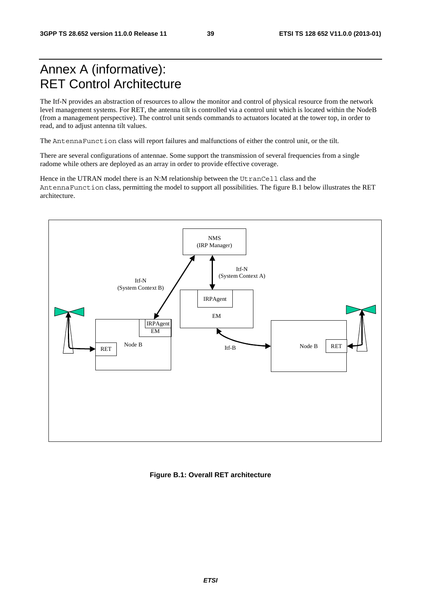# Annex A (informative): RET Control Architecture

The Itf-N provides an abstraction of resources to allow the monitor and control of physical resource from the network level management systems. For RET, the antenna tilt is controlled via a control unit which is located within the NodeB (from a management perspective). The control unit sends commands to actuators located at the tower top, in order to read, and to adjust antenna tilt values.

The AntennaFunction class will report failures and malfunctions of either the control unit, or the tilt.

There are several configurations of antennae. Some support the transmission of several frequencies from a single radome while others are deployed as an array in order to provide effective coverage.

Hence in the UTRAN model there is an N:M relationship between the UtranCell class and the AntennaFunction class, permitting the model to support all possibilities. The figure B.1 below illustrates the RET architecture.



#### **Figure B.1: Overall RET architecture**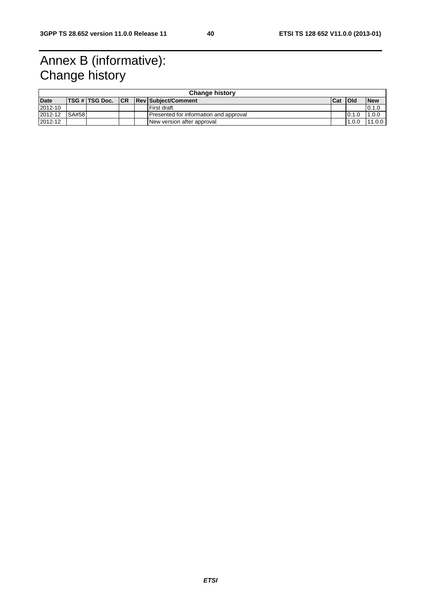# Annex B (informative): Change history

|             | <b>Change history</b> |                     |  |  |                                        |            |            |            |
|-------------|-----------------------|---------------------|--|--|----------------------------------------|------------|------------|------------|
| <b>Date</b> |                       | TSG # TSG Doc.   CR |  |  | <b>Rev Subject/Comment</b>             | <b>Cat</b> | <b>Old</b> | <b>New</b> |
| 2012-10     |                       |                     |  |  | First draft                            |            |            | 0.1.0      |
| 2012-12     | <b>SA#58</b>          |                     |  |  | Presented for information and approval |            | 0.1.0      | 1.0.0      |
| 2012-12     |                       |                     |  |  | New version after approval             |            | 1.0.0      | 11.0.0     |